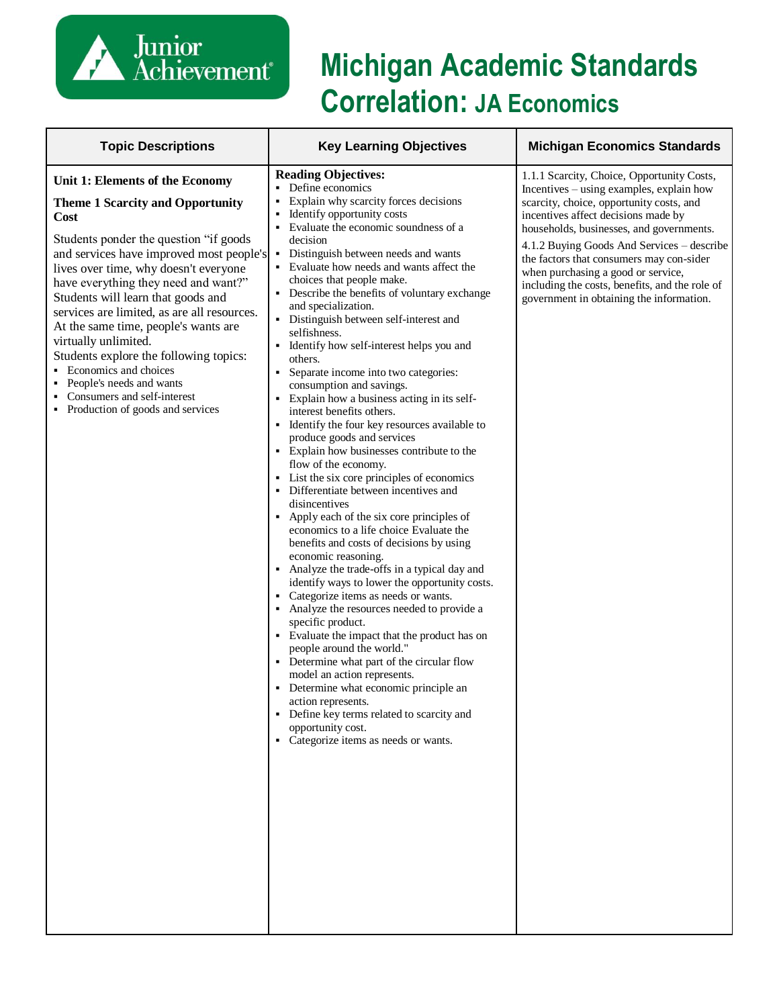

# **Michigan Academic Standards Correlation: JA Economics**

| <b>Topic Descriptions</b>                                                                                                                                                                                                                                                                                                                                                                                                                                                                                                                                                                      | <b>Key Learning Objectives</b>                                                                                                                                                                                                                                                                                                                                                                                                                                                                                                                                                                                                                                                                                                                                                                                                                                                                                                                                                                                                                                                                                                                                                                                                                                                                                                                                                                                                                                                                                                                                                                                                                     | <b>Michigan Economics Standards</b>                                                                                                                                                                                                                                                                                                                                                                                                                 |
|------------------------------------------------------------------------------------------------------------------------------------------------------------------------------------------------------------------------------------------------------------------------------------------------------------------------------------------------------------------------------------------------------------------------------------------------------------------------------------------------------------------------------------------------------------------------------------------------|----------------------------------------------------------------------------------------------------------------------------------------------------------------------------------------------------------------------------------------------------------------------------------------------------------------------------------------------------------------------------------------------------------------------------------------------------------------------------------------------------------------------------------------------------------------------------------------------------------------------------------------------------------------------------------------------------------------------------------------------------------------------------------------------------------------------------------------------------------------------------------------------------------------------------------------------------------------------------------------------------------------------------------------------------------------------------------------------------------------------------------------------------------------------------------------------------------------------------------------------------------------------------------------------------------------------------------------------------------------------------------------------------------------------------------------------------------------------------------------------------------------------------------------------------------------------------------------------------------------------------------------------------|-----------------------------------------------------------------------------------------------------------------------------------------------------------------------------------------------------------------------------------------------------------------------------------------------------------------------------------------------------------------------------------------------------------------------------------------------------|
| Unit 1: Elements of the Economy<br><b>Theme 1 Scarcity and Opportunity</b><br><b>Cost</b><br>Students ponder the question "if goods"<br>and services have improved most people's<br>lives over time, why doesn't everyone<br>have everything they need and want?"<br>Students will learn that goods and<br>services are limited, as are all resources.<br>At the same time, people's wants are<br>virtually unlimited.<br>Students explore the following topics:<br>• Economics and choices<br>• People's needs and wants<br>Consumers and self-interest<br>• Production of goods and services | <b>Reading Objectives:</b><br>Define economics<br>۰.<br>Explain why scarcity forces decisions<br>Identify opportunity costs<br>Evaluate the economic soundness of a<br>decision<br>Distinguish between needs and wants<br>$\blacksquare$<br>Evaluate how needs and wants affect the<br>choices that people make.<br>• Describe the benefits of voluntary exchange<br>and specialization.<br>• Distinguish between self-interest and<br>selfishness.<br>• Identify how self-interest helps you and<br>others.<br>Separate income into two categories:<br>٠<br>consumption and savings.<br>• Explain how a business acting in its self-<br>interest benefits others.<br>• Identify the four key resources available to<br>produce goods and services<br>• Explain how businesses contribute to the<br>flow of the economy.<br>• List the six core principles of economics<br>• Differentiate between incentives and<br>disincentives<br>Apply each of the six core principles of<br>economics to a life choice Evaluate the<br>benefits and costs of decisions by using<br>economic reasoning.<br>• Analyze the trade-offs in a typical day and<br>identify ways to lower the opportunity costs.<br>• Categorize items as needs or wants.<br>• Analyze the resources needed to provide a<br>specific product.<br>• Evaluate the impact that the product has on<br>people around the world."<br>• Determine what part of the circular flow<br>model an action represents.<br>• Determine what economic principle an<br>action represents.<br>• Define key terms related to scarcity and<br>opportunity cost.<br>• Categorize items as needs or wants. | 1.1.1 Scarcity, Choice, Opportunity Costs,<br>Incentives – using examples, explain how<br>scarcity, choice, opportunity costs, and<br>incentives affect decisions made by<br>households, businesses, and governments.<br>4.1.2 Buying Goods And Services - describe<br>the factors that consumers may con-sider<br>when purchasing a good or service,<br>including the costs, benefits, and the role of<br>government in obtaining the information. |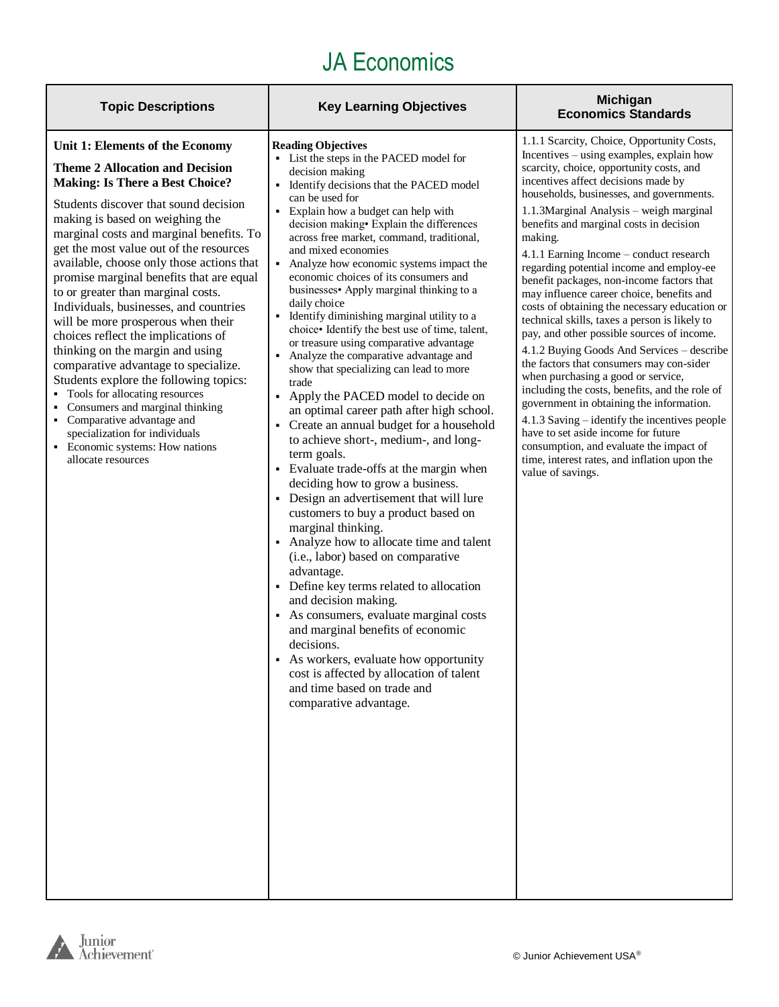| <b>Topic Descriptions</b>                                                                                                                                                                                                                                                                                                                                                                                                                                                                                                                                                                                                                                                                                                                                                                                                                                                 | <b>Key Learning Objectives</b>                                                                                                                                                                                                                                                                                                                                                                                                                                                                                                                                                                                                                                                                                                                                                                                                                                                                                                                                                                                                                                                                                                                                                                                                                                                                                                                                                                                                                                                                                                         | <b>Michigan</b><br><b>Economics Standards</b>                                                                                                                                                                                                                                                                                                                                                                                                                                                                                                                                                                                                                                                                                                                                                                                                                                                                                                                                                                                                                                                 |
|---------------------------------------------------------------------------------------------------------------------------------------------------------------------------------------------------------------------------------------------------------------------------------------------------------------------------------------------------------------------------------------------------------------------------------------------------------------------------------------------------------------------------------------------------------------------------------------------------------------------------------------------------------------------------------------------------------------------------------------------------------------------------------------------------------------------------------------------------------------------------|----------------------------------------------------------------------------------------------------------------------------------------------------------------------------------------------------------------------------------------------------------------------------------------------------------------------------------------------------------------------------------------------------------------------------------------------------------------------------------------------------------------------------------------------------------------------------------------------------------------------------------------------------------------------------------------------------------------------------------------------------------------------------------------------------------------------------------------------------------------------------------------------------------------------------------------------------------------------------------------------------------------------------------------------------------------------------------------------------------------------------------------------------------------------------------------------------------------------------------------------------------------------------------------------------------------------------------------------------------------------------------------------------------------------------------------------------------------------------------------------------------------------------------------|-----------------------------------------------------------------------------------------------------------------------------------------------------------------------------------------------------------------------------------------------------------------------------------------------------------------------------------------------------------------------------------------------------------------------------------------------------------------------------------------------------------------------------------------------------------------------------------------------------------------------------------------------------------------------------------------------------------------------------------------------------------------------------------------------------------------------------------------------------------------------------------------------------------------------------------------------------------------------------------------------------------------------------------------------------------------------------------------------|
| Unit 1: Elements of the Economy<br><b>Theme 2 Allocation and Decision</b><br><b>Making: Is There a Best Choice?</b><br>Students discover that sound decision<br>making is based on weighing the<br>marginal costs and marginal benefits. To<br>get the most value out of the resources<br>available, choose only those actions that<br>promise marginal benefits that are equal<br>to or greater than marginal costs.<br>Individuals, businesses, and countries<br>will be more prosperous when their<br>choices reflect the implications of<br>thinking on the margin and using<br>comparative advantage to specialize.<br>Students explore the following topics:<br>• Tools for allocating resources<br>Consumers and marginal thinking<br>۰.<br>• Comparative advantage and<br>specialization for individuals<br>• Economic systems: How nations<br>allocate resources | <b>Reading Objectives</b><br>• List the steps in the PACED model for<br>decision making<br>Identify decisions that the PACED model<br>can be used for<br>• Explain how a budget can help with<br>decision making • Explain the differences<br>across free market, command, traditional,<br>and mixed economies<br>$\blacksquare$<br>Analyze how economic systems impact the<br>economic choices of its consumers and<br>businesses Apply marginal thinking to a<br>daily choice<br>• Identify diminishing marginal utility to a<br>choice. Identify the best use of time, talent,<br>or treasure using comparative advantage<br>• Analyze the comparative advantage and<br>show that specializing can lead to more<br>trade<br>Apply the PACED model to decide on<br>٠<br>an optimal career path after high school.<br>• Create an annual budget for a household<br>to achieve short-, medium-, and long-<br>term goals.<br>• Evaluate trade-offs at the margin when<br>deciding how to grow a business.<br>• Design an advertisement that will lure<br>customers to buy a product based on<br>marginal thinking.<br>• Analyze how to allocate time and talent<br>(i.e., labor) based on comparative<br>advantage.<br>• Define key terms related to allocation<br>and decision making.<br>• As consumers, evaluate marginal costs<br>and marginal benefits of economic<br>decisions.<br>As workers, evaluate how opportunity<br>٠<br>cost is affected by allocation of talent<br>and time based on trade and<br>comparative advantage. | 1.1.1 Scarcity, Choice, Opportunity Costs,<br>Incentives - using examples, explain how<br>scarcity, choice, opportunity costs, and<br>incentives affect decisions made by<br>households, businesses, and governments.<br>1.1.3Marginal Analysis - weigh marginal<br>benefits and marginal costs in decision<br>making.<br>4.1.1 Earning Income - conduct research<br>regarding potential income and employ-ee<br>benefit packages, non-income factors that<br>may influence career choice, benefits and<br>costs of obtaining the necessary education or<br>technical skills, taxes a person is likely to<br>pay, and other possible sources of income.<br>4.1.2 Buying Goods And Services - describe<br>the factors that consumers may con-sider<br>when purchasing a good or service,<br>including the costs, benefits, and the role of<br>government in obtaining the information.<br>4.1.3 Saving – identify the incentives people<br>have to set aside income for future<br>consumption, and evaluate the impact of<br>time, interest rates, and inflation upon the<br>value of savings. |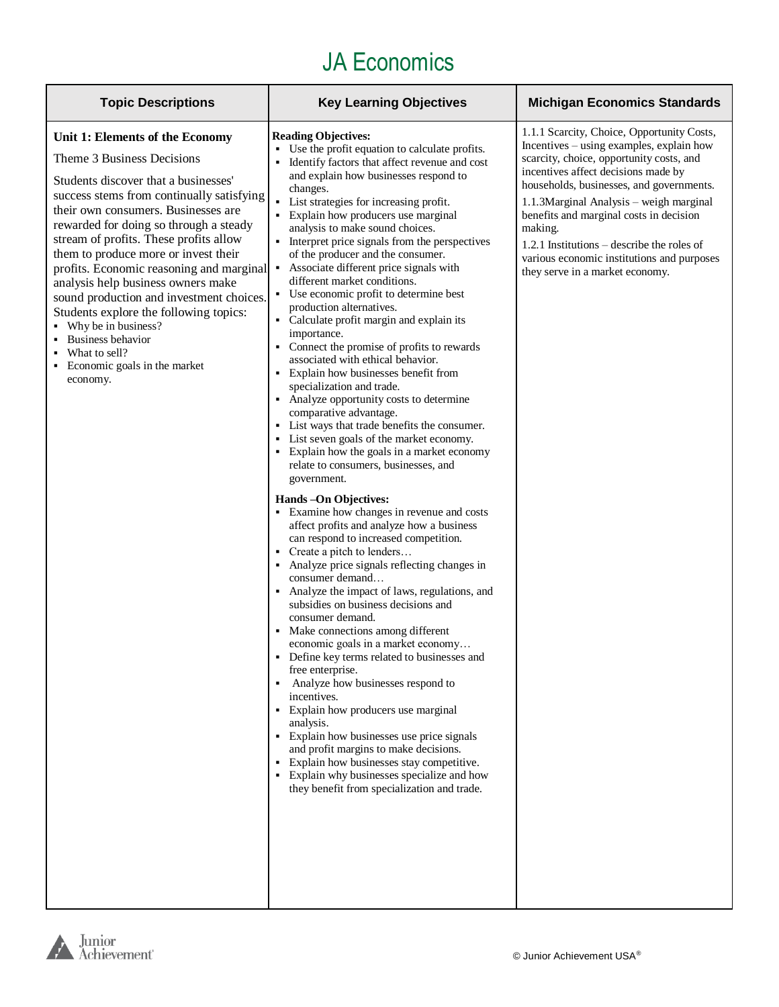| <b>Topic Descriptions</b><br><b>Key Learning Objectives</b>                                                                                                                                                                                                                                                                                                                                                                                                                                                                                                                                                                                                                                                                                                                                                                                                                                                                                                                                                                                                                                                                                                                                                                                                                                                                                                                                                                                                                                                                                                                                                                                                                                                                                                                                                                                                                                                                                                                                                                                                                                                                                                                                                                                                                                                                                                                                                                                                                                                                                                                                                                                                                                                                        | <b>Michigan Economics Standards</b>                                                                                                                                                                                                                                        |
|------------------------------------------------------------------------------------------------------------------------------------------------------------------------------------------------------------------------------------------------------------------------------------------------------------------------------------------------------------------------------------------------------------------------------------------------------------------------------------------------------------------------------------------------------------------------------------------------------------------------------------------------------------------------------------------------------------------------------------------------------------------------------------------------------------------------------------------------------------------------------------------------------------------------------------------------------------------------------------------------------------------------------------------------------------------------------------------------------------------------------------------------------------------------------------------------------------------------------------------------------------------------------------------------------------------------------------------------------------------------------------------------------------------------------------------------------------------------------------------------------------------------------------------------------------------------------------------------------------------------------------------------------------------------------------------------------------------------------------------------------------------------------------------------------------------------------------------------------------------------------------------------------------------------------------------------------------------------------------------------------------------------------------------------------------------------------------------------------------------------------------------------------------------------------------------------------------------------------------------------------------------------------------------------------------------------------------------------------------------------------------------------------------------------------------------------------------------------------------------------------------------------------------------------------------------------------------------------------------------------------------------------------------------------------------------------------------------------------------|----------------------------------------------------------------------------------------------------------------------------------------------------------------------------------------------------------------------------------------------------------------------------|
| <b>Reading Objectives:</b><br>Unit 1: Elements of the Economy<br>• Use the profit equation to calculate profits.<br>Theme 3 Business Decisions<br>scarcity, choice, opportunity costs, and<br>Identify factors that affect revenue and cost<br>incentives affect decisions made by<br>and explain how businesses respond to<br>Students discover that a businesses'<br>changes.<br>success stems from continually satisfying<br>• List strategies for increasing profit.<br>their own consumers. Businesses are<br>• Explain how producers use marginal<br>benefits and marginal costs in decision<br>rewarded for doing so through a steady<br>analysis to make sound choices.<br>making.<br>stream of profits. These profits allow<br>• Interpret price signals from the perspectives<br>them to produce more or invest their<br>of the producer and the consumer.<br>profits. Economic reasoning and marginal<br>Associate different price signals with<br>٠<br>they serve in a market economy.<br>different market conditions.<br>analysis help business owners make<br>• Use economic profit to determine best<br>sound production and investment choices.<br>production alternatives.<br>Students explore the following topics:<br>• Calculate profit margin and explain its<br>Why be in business?<br>importance.<br><b>Business behavior</b><br>• Connect the promise of profits to rewards<br>What to sell?<br>associated with ethical behavior.<br>Economic goals in the market<br>• Explain how businesses benefit from<br>economy.<br>specialization and trade.<br>• Analyze opportunity costs to determine<br>comparative advantage.<br>• List ways that trade benefits the consumer.<br>• List seven goals of the market economy.<br>• Explain how the goals in a market economy<br>relate to consumers, businesses, and<br>government.<br>Hands - On Objectives:<br>• Examine how changes in revenue and costs<br>affect profits and analyze how a business<br>can respond to increased competition.<br>• Create a pitch to lenders<br>• Analyze price signals reflecting changes in<br>consumer demand<br>• Analyze the impact of laws, regulations, and<br>subsidies on business decisions and<br>consumer demand.<br>• Make connections among different<br>economic goals in a market economy<br>Define key terms related to businesses and<br>free enterprise.<br>Analyze how businesses respond to<br>٠<br>incentives.<br>• Explain how producers use marginal<br>analysis.<br>• Explain how businesses use price signals<br>and profit margins to make decisions.<br>• Explain how businesses stay competitive.<br>• Explain why businesses specialize and how<br>they benefit from specialization and trade. | 1.1.1 Scarcity, Choice, Opportunity Costs,<br>Incentives – using examples, explain how<br>households, businesses, and governments.<br>1.1.3 Marginal Analysis – weigh marginal<br>1.2.1 Institutions – describe the roles of<br>various economic institutions and purposes |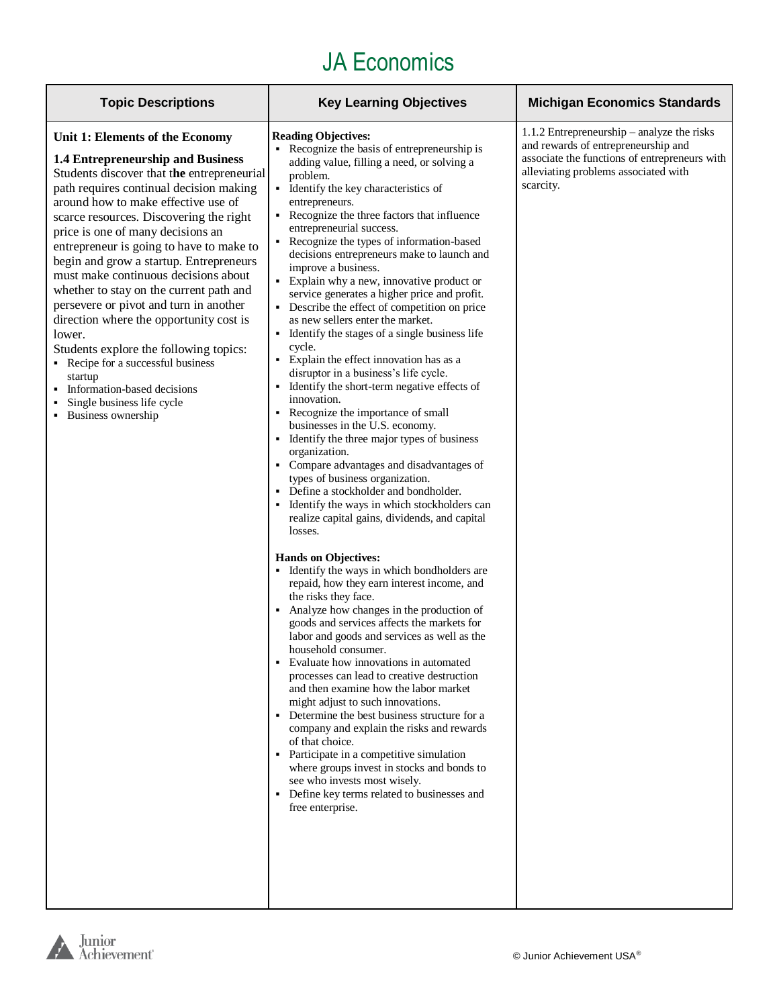| <b>Topic Descriptions</b>                                                                                                                                                                                                                                                                                                                                                                                                                                                                                                                                                                                                                                                                                                                              | <b>Key Learning Objectives</b>                                                                                                                                                                                                                                                                                                                                                                                                                                                                                                                                                                                                                                                                                                                                                                                                                                                                                                                                                                                                                                                                                                                                                                                                                                                                                                                                                                                                                                                                                                                                                                                                                                                                                                                                                                                                                                                                                                                                                                                     | <b>Michigan Economics Standards</b>                                                                                                                                                     |
|--------------------------------------------------------------------------------------------------------------------------------------------------------------------------------------------------------------------------------------------------------------------------------------------------------------------------------------------------------------------------------------------------------------------------------------------------------------------------------------------------------------------------------------------------------------------------------------------------------------------------------------------------------------------------------------------------------------------------------------------------------|--------------------------------------------------------------------------------------------------------------------------------------------------------------------------------------------------------------------------------------------------------------------------------------------------------------------------------------------------------------------------------------------------------------------------------------------------------------------------------------------------------------------------------------------------------------------------------------------------------------------------------------------------------------------------------------------------------------------------------------------------------------------------------------------------------------------------------------------------------------------------------------------------------------------------------------------------------------------------------------------------------------------------------------------------------------------------------------------------------------------------------------------------------------------------------------------------------------------------------------------------------------------------------------------------------------------------------------------------------------------------------------------------------------------------------------------------------------------------------------------------------------------------------------------------------------------------------------------------------------------------------------------------------------------------------------------------------------------------------------------------------------------------------------------------------------------------------------------------------------------------------------------------------------------------------------------------------------------------------------------------------------------|-----------------------------------------------------------------------------------------------------------------------------------------------------------------------------------------|
| Unit 1: Elements of the Economy<br><b>1.4 Entrepreneurship and Business</b><br>Students discover that the entrepreneurial<br>path requires continual decision making<br>around how to make effective use of<br>scarce resources. Discovering the right<br>price is one of many decisions an<br>entrepreneur is going to have to make to<br>begin and grow a startup. Entrepreneurs<br>must make continuous decisions about<br>whether to stay on the current path and<br>persevere or pivot and turn in another<br>direction where the opportunity cost is<br>lower.<br>Students explore the following topics:<br>• Recipe for a successful business<br>startup<br>• Information-based decisions<br>Single business life cycle<br>• Business ownership | <b>Reading Objectives:</b><br>• Recognize the basis of entrepreneurship is<br>adding value, filling a need, or solving a<br>problem.<br>• Identify the key characteristics of<br>entrepreneurs.<br>• Recognize the three factors that influence<br>entrepreneurial success.<br>Recognize the types of information-based<br>٠.<br>decisions entrepreneurs make to launch and<br>improve a business.<br>• Explain why a new, innovative product or<br>service generates a higher price and profit.<br>• Describe the effect of competition on price<br>as new sellers enter the market.<br>Identify the stages of a single business life<br>٠<br>cycle.<br>• Explain the effect innovation has as a<br>disruptor in a business's life cycle.<br>Identify the short-term negative effects of<br>٠<br>innovation.<br>Recognize the importance of small<br>٠<br>businesses in the U.S. economy.<br>• Identify the three major types of business<br>organization.<br>• Compare advantages and disadvantages of<br>types of business organization.<br>Define a stockholder and bondholder.<br>Identify the ways in which stockholders can<br>٠<br>realize capital gains, dividends, and capital<br>losses.<br><b>Hands on Objectives:</b><br>• Identify the ways in which bondholders are<br>repaid, how they earn interest income, and<br>the risks they face.<br>Analyze how changes in the production of<br>٠<br>goods and services affects the markets for<br>labor and goods and services as well as the<br>household consumer.<br>Evaluate how innovations in automated<br>processes can lead to creative destruction<br>and then examine how the labor market<br>might adjust to such innovations.<br>• Determine the best business structure for a<br>company and explain the risks and rewards<br>of that choice.<br>• Participate in a competitive simulation<br>where groups invest in stocks and bonds to<br>see who invests most wisely.<br>• Define key terms related to businesses and<br>free enterprise. | 1.1.2 Entrepreneurship – analyze the risks<br>and rewards of entrepreneurship and<br>associate the functions of entrepreneurs with<br>alleviating problems associated with<br>scarcity. |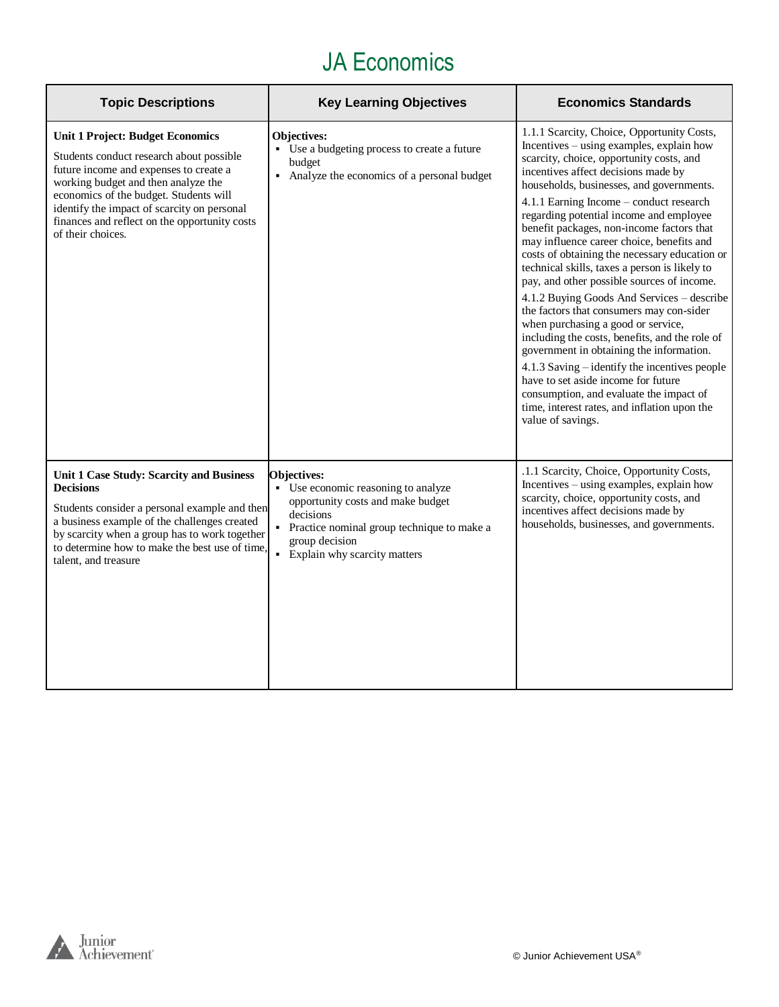| <b>Topic Descriptions</b>                                                                                                                                                                                                                                                                                                           | <b>Key Learning Objectives</b>                                                                                                                                                                                  | <b>Economics Standards</b>                                                                                                                                                                                                                                                                                                                                                                                                                                                                                                                                                                                                                                                                                                                                                                                                                                                                                                                                                                  |
|-------------------------------------------------------------------------------------------------------------------------------------------------------------------------------------------------------------------------------------------------------------------------------------------------------------------------------------|-----------------------------------------------------------------------------------------------------------------------------------------------------------------------------------------------------------------|---------------------------------------------------------------------------------------------------------------------------------------------------------------------------------------------------------------------------------------------------------------------------------------------------------------------------------------------------------------------------------------------------------------------------------------------------------------------------------------------------------------------------------------------------------------------------------------------------------------------------------------------------------------------------------------------------------------------------------------------------------------------------------------------------------------------------------------------------------------------------------------------------------------------------------------------------------------------------------------------|
| <b>Unit 1 Project: Budget Economics</b><br>Students conduct research about possible<br>future income and expenses to create a<br>working budget and then analyze the<br>economics of the budget. Students will<br>identify the impact of scarcity on personal<br>finances and reflect on the opportunity costs<br>of their choices. | <b>Objectives:</b><br>• Use a budgeting process to create a future<br>budget<br>• Analyze the economics of a personal budget                                                                                    | 1.1.1 Scarcity, Choice, Opportunity Costs,<br>Incentives - using examples, explain how<br>scarcity, choice, opportunity costs, and<br>incentives affect decisions made by<br>households, businesses, and governments.<br>4.1.1 Earning Income – conduct research<br>regarding potential income and employee<br>benefit packages, non-income factors that<br>may influence career choice, benefits and<br>costs of obtaining the necessary education or<br>technical skills, taxes a person is likely to<br>pay, and other possible sources of income.<br>4.1.2 Buying Goods And Services - describe<br>the factors that consumers may con-sider<br>when purchasing a good or service,<br>including the costs, benefits, and the role of<br>government in obtaining the information.<br>4.1.3 Saving – identify the incentives people<br>have to set aside income for future<br>consumption, and evaluate the impact of<br>time, interest rates, and inflation upon the<br>value of savings. |
| Unit 1 Case Study: Scarcity and Business<br><b>Decisions</b><br>Students consider a personal example and then<br>a business example of the challenges created<br>by scarcity when a group has to work together<br>to determine how to make the best use of time,<br>talent, and treasure                                            | <b>Objectives:</b><br>• Use economic reasoning to analyze<br>opportunity costs and make budget<br>decisions<br>• Practice nominal group technique to make a<br>group decision<br>• Explain why scarcity matters | .1.1 Scarcity, Choice, Opportunity Costs,<br>Incentives – using examples, explain how<br>scarcity, choice, opportunity costs, and<br>incentives affect decisions made by<br>households, businesses, and governments.                                                                                                                                                                                                                                                                                                                                                                                                                                                                                                                                                                                                                                                                                                                                                                        |

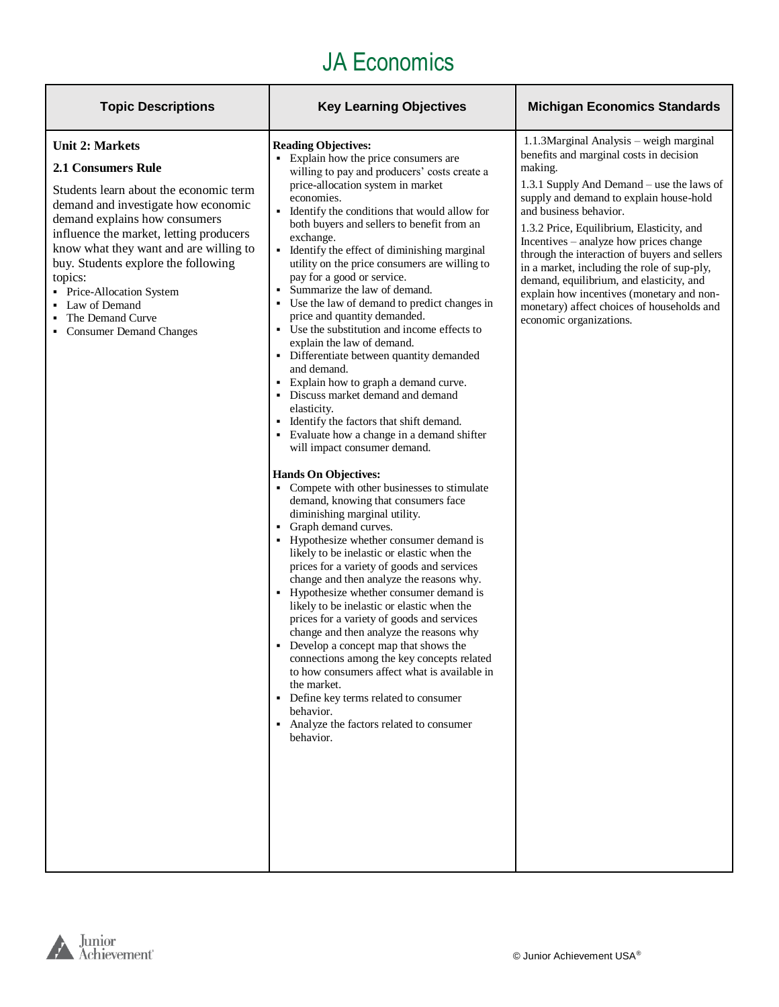| <b>Topic Descriptions</b>                                                                                                                                                                                                                                                                                                                                                                                           | <b>Key Learning Objectives</b>                                                                                                                                                                                                                                                                                                                                                                                                                                                                                                                                                                                                                                                                                                                                                                                                                                                                                                                                                                                                                                                                                                                                                                                                                                                                                                                                                                                                                                                                                                                                                                                                                                                                                                              | <b>Michigan Economics Standards</b>                                                                                                                                                                                                                                                                                                                                                                                                                                                                                                                                      |
|---------------------------------------------------------------------------------------------------------------------------------------------------------------------------------------------------------------------------------------------------------------------------------------------------------------------------------------------------------------------------------------------------------------------|---------------------------------------------------------------------------------------------------------------------------------------------------------------------------------------------------------------------------------------------------------------------------------------------------------------------------------------------------------------------------------------------------------------------------------------------------------------------------------------------------------------------------------------------------------------------------------------------------------------------------------------------------------------------------------------------------------------------------------------------------------------------------------------------------------------------------------------------------------------------------------------------------------------------------------------------------------------------------------------------------------------------------------------------------------------------------------------------------------------------------------------------------------------------------------------------------------------------------------------------------------------------------------------------------------------------------------------------------------------------------------------------------------------------------------------------------------------------------------------------------------------------------------------------------------------------------------------------------------------------------------------------------------------------------------------------------------------------------------------------|--------------------------------------------------------------------------------------------------------------------------------------------------------------------------------------------------------------------------------------------------------------------------------------------------------------------------------------------------------------------------------------------------------------------------------------------------------------------------------------------------------------------------------------------------------------------------|
| <b>Unit 2: Markets</b><br><b>2.1 Consumers Rule</b><br>Students learn about the economic term<br>demand and investigate how economic<br>demand explains how consumers<br>influence the market, letting producers<br>know what they want and are willing to<br>buy. Students explore the following<br>topics:<br>Price-Allocation System<br>Law of Demand<br>The Demand Curve<br><b>Consumer Demand Changes</b><br>٠ | <b>Reading Objectives:</b><br>• Explain how the price consumers are<br>willing to pay and producers' costs create a<br>price-allocation system in market<br>economies.<br>• Identify the conditions that would allow for<br>both buyers and sellers to benefit from an<br>exchange.<br>• Identify the effect of diminishing marginal<br>utility on the price consumers are willing to<br>pay for a good or service.<br>• Summarize the law of demand.<br>• Use the law of demand to predict changes in<br>price and quantity demanded.<br>• Use the substitution and income effects to<br>explain the law of demand.<br>• Differentiate between quantity demanded<br>and demand.<br>• Explain how to graph a demand curve.<br>• Discuss market demand and demand<br>elasticity.<br>• Identify the factors that shift demand.<br>• Evaluate how a change in a demand shifter<br>will impact consumer demand.<br><b>Hands On Objectives:</b><br>• Compete with other businesses to stimulate<br>demand, knowing that consumers face<br>diminishing marginal utility.<br>• Graph demand curves.<br>• Hypothesize whether consumer demand is<br>likely to be inelastic or elastic when the<br>prices for a variety of goods and services<br>change and then analyze the reasons why.<br>• Hypothesize whether consumer demand is<br>likely to be inelastic or elastic when the<br>prices for a variety of goods and services<br>change and then analyze the reasons why<br>• Develop a concept map that shows the<br>connections among the key concepts related<br>to how consumers affect what is available in<br>the market.<br>• Define key terms related to consumer<br>behavior.<br>• Analyze the factors related to consumer<br>behavior. | 1.1.3Marginal Analysis - weigh marginal<br>benefits and marginal costs in decision<br>making.<br>1.3.1 Supply And Demand – use the laws of<br>supply and demand to explain house-hold<br>and business behavior.<br>1.3.2 Price, Equilibrium, Elasticity, and<br>Incentives – analyze how prices change<br>through the interaction of buyers and sellers<br>in a market, including the role of sup-ply,<br>demand, equilibrium, and elasticity, and<br>explain how incentives (monetary and non-<br>monetary) affect choices of households and<br>economic organizations. |
|                                                                                                                                                                                                                                                                                                                                                                                                                     |                                                                                                                                                                                                                                                                                                                                                                                                                                                                                                                                                                                                                                                                                                                                                                                                                                                                                                                                                                                                                                                                                                                                                                                                                                                                                                                                                                                                                                                                                                                                                                                                                                                                                                                                             |                                                                                                                                                                                                                                                                                                                                                                                                                                                                                                                                                                          |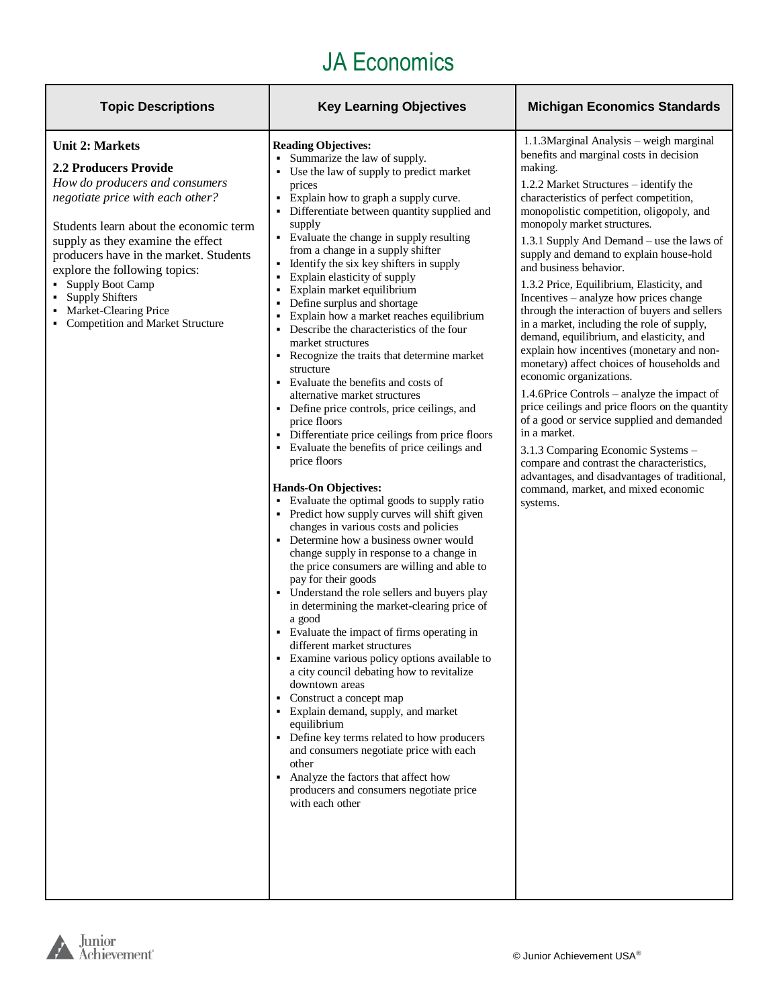| <b>Topic Descriptions</b>                                                                                                                                                                                                                                                                                                                                                                        | <b>Key Learning Objectives</b>                                                                                                                                                                                                                                                                                                                                                                                                                                                                                                                                                                                                                                                                                                                                                                                                                                                                                                                                                                                                                                                                                                                                                                                                                                                                                                                                                                                                                                                                                                                                                                                                                                                                                                                                                                                   | <b>Michigan Economics Standards</b>                                                                                                                                                                                                                                                                                                                                                                                                                                                                                                                                                                                                                                                                                                                                                                                                                                                                                                                                                                                                                                                            |
|--------------------------------------------------------------------------------------------------------------------------------------------------------------------------------------------------------------------------------------------------------------------------------------------------------------------------------------------------------------------------------------------------|------------------------------------------------------------------------------------------------------------------------------------------------------------------------------------------------------------------------------------------------------------------------------------------------------------------------------------------------------------------------------------------------------------------------------------------------------------------------------------------------------------------------------------------------------------------------------------------------------------------------------------------------------------------------------------------------------------------------------------------------------------------------------------------------------------------------------------------------------------------------------------------------------------------------------------------------------------------------------------------------------------------------------------------------------------------------------------------------------------------------------------------------------------------------------------------------------------------------------------------------------------------------------------------------------------------------------------------------------------------------------------------------------------------------------------------------------------------------------------------------------------------------------------------------------------------------------------------------------------------------------------------------------------------------------------------------------------------------------------------------------------------------------------------------------------------|------------------------------------------------------------------------------------------------------------------------------------------------------------------------------------------------------------------------------------------------------------------------------------------------------------------------------------------------------------------------------------------------------------------------------------------------------------------------------------------------------------------------------------------------------------------------------------------------------------------------------------------------------------------------------------------------------------------------------------------------------------------------------------------------------------------------------------------------------------------------------------------------------------------------------------------------------------------------------------------------------------------------------------------------------------------------------------------------|
| <b>Unit 2: Markets</b><br><b>2.2 Producers Provide</b><br>How do producers and consumers<br>negotiate price with each other?<br>Students learn about the economic term<br>supply as they examine the effect<br>producers have in the market. Students<br>explore the following topics:<br>• Supply Boot Camp<br>• Supply Shifters<br>Market-Clearing Price<br>• Competition and Market Structure | <b>Reading Objectives:</b><br>Summarize the law of supply.<br>Use the law of supply to predict market<br>prices<br>Explain how to graph a supply curve.<br>Differentiate between quantity supplied and<br>supply<br>• Evaluate the change in supply resulting<br>from a change in a supply shifter<br>Identify the six key shifters in supply<br>Explain elasticity of supply<br>Explain market equilibrium<br>٠<br>Define surplus and shortage<br>Explain how a market reaches equilibrium<br>٠<br>• Describe the characteristics of the four<br>market structures<br>Recognize the traits that determine market<br>structure<br>• Evaluate the benefits and costs of<br>alternative market structures<br>Define price controls, price ceilings, and<br>price floors<br>Differentiate price ceilings from price floors<br>Evaluate the benefits of price ceilings and<br>price floors<br><b>Hands-On Objectives:</b><br>Evaluate the optimal goods to supply ratio<br>Predict how supply curves will shift given<br>changes in various costs and policies<br>Determine how a business owner would<br>change supply in response to a change in<br>the price consumers are willing and able to<br>pay for their goods<br>Understand the role sellers and buyers play<br>in determining the market-clearing price of<br>a good<br>• Evaluate the impact of firms operating in<br>different market structures<br>Examine various policy options available to<br>a city council debating how to revitalize<br>downtown areas<br>Construct a concept map<br>• Explain demand, supply, and market<br>equilibrium<br>Define key terms related to how producers<br>and consumers negotiate price with each<br>other<br>Analyze the factors that affect how<br>producers and consumers negotiate price<br>with each other | 1.1.3Marginal Analysis - weigh marginal<br>benefits and marginal costs in decision<br>making.<br>1.2.2 Market Structures – identify the<br>characteristics of perfect competition,<br>monopolistic competition, oligopoly, and<br>monopoly market structures.<br>1.3.1 Supply And Demand – use the laws of<br>supply and demand to explain house-hold<br>and business behavior.<br>1.3.2 Price, Equilibrium, Elasticity, and<br>Incentives - analyze how prices change<br>through the interaction of buyers and sellers<br>in a market, including the role of supply,<br>demand, equilibrium, and elasticity, and<br>explain how incentives (monetary and non-<br>monetary) affect choices of households and<br>economic organizations.<br>1.4.6Price Controls – analyze the impact of<br>price ceilings and price floors on the quantity<br>of a good or service supplied and demanded<br>in a market.<br>3.1.3 Comparing Economic Systems -<br>compare and contrast the characteristics,<br>advantages, and disadvantages of traditional,<br>command, market, and mixed economic<br>systems. |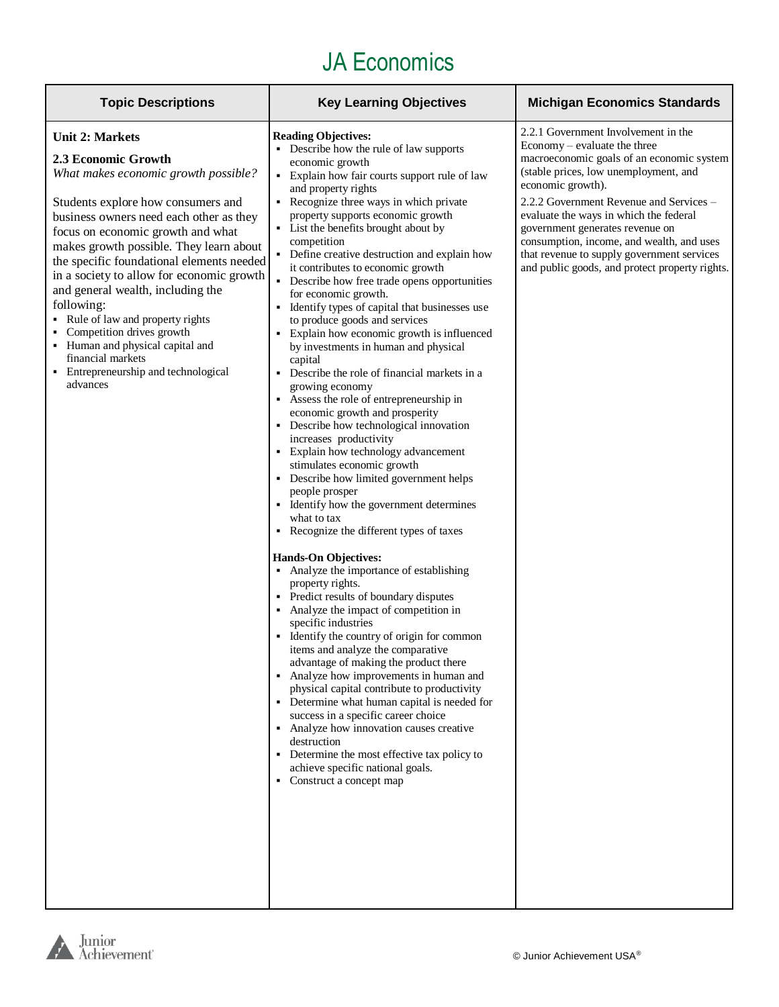| <b>Topic Descriptions</b>                                                                                                                                                                                                                                                                                                                                                                                                                                                                                                                                                            | <b>Key Learning Objectives</b>                                                                                                                                                                                                                                                                                                                                                                                                                                                                                                                                                                                                                                                                                                                                                                                                                                                                                                                                                                                                                                                                                                                                                                                                                                                                                                                                                                                                                                                                                                                                                                                                                                                                                                                                                                                | <b>Michigan Economics Standards</b>                                                                                                                                                                                                                                                                                                                                                                                                                 |
|--------------------------------------------------------------------------------------------------------------------------------------------------------------------------------------------------------------------------------------------------------------------------------------------------------------------------------------------------------------------------------------------------------------------------------------------------------------------------------------------------------------------------------------------------------------------------------------|---------------------------------------------------------------------------------------------------------------------------------------------------------------------------------------------------------------------------------------------------------------------------------------------------------------------------------------------------------------------------------------------------------------------------------------------------------------------------------------------------------------------------------------------------------------------------------------------------------------------------------------------------------------------------------------------------------------------------------------------------------------------------------------------------------------------------------------------------------------------------------------------------------------------------------------------------------------------------------------------------------------------------------------------------------------------------------------------------------------------------------------------------------------------------------------------------------------------------------------------------------------------------------------------------------------------------------------------------------------------------------------------------------------------------------------------------------------------------------------------------------------------------------------------------------------------------------------------------------------------------------------------------------------------------------------------------------------------------------------------------------------------------------------------------------------|-----------------------------------------------------------------------------------------------------------------------------------------------------------------------------------------------------------------------------------------------------------------------------------------------------------------------------------------------------------------------------------------------------------------------------------------------------|
| <b>Unit 2: Markets</b><br>2.3 Economic Growth<br>What makes economic growth possible?<br>Students explore how consumers and<br>business owners need each other as they<br>focus on economic growth and what<br>makes growth possible. They learn about<br>the specific foundational elements needed<br>in a society to allow for economic growth<br>and general wealth, including the<br>following:<br>• Rule of law and property rights<br>• Competition drives growth<br>• Human and physical capital and<br>financial markets<br>• Entrepreneurship and technological<br>advances | <b>Reading Objectives:</b><br>Describe how the rule of law supports<br>economic growth<br>Explain how fair courts support rule of law<br>٠<br>and property rights<br>Recognize three ways in which private<br>property supports economic growth<br>• List the benefits brought about by<br>competition<br>Define creative destruction and explain how<br>it contributes to economic growth<br>• Describe how free trade opens opportunities<br>for economic growth.<br>Identify types of capital that businesses use<br>to produce goods and services<br>• Explain how economic growth is influenced<br>by investments in human and physical<br>capital<br>Describe the role of financial markets in a<br>growing economy<br>Assess the role of entrepreneurship in<br>economic growth and prosperity<br>• Describe how technological innovation<br>increases productivity<br>• Explain how technology advancement<br>stimulates economic growth<br>Describe how limited government helps<br>people prosper<br>Identify how the government determines<br>what to tax<br>• Recognize the different types of taxes<br><b>Hands-On Objectives:</b><br>• Analyze the importance of establishing<br>property rights.<br>Predict results of boundary disputes<br>Analyze the impact of competition in<br>٠<br>specific industries<br>Identify the country of origin for common<br>items and analyze the comparative<br>advantage of making the product there<br>Analyze how improvements in human and<br>physical capital contribute to productivity<br>• Determine what human capital is needed for<br>success in a specific career choice<br>Analyze how innovation causes creative<br>destruction<br>• Determine the most effective tax policy to<br>achieve specific national goals.<br>Construct a concept map | 2.2.1 Government Involvement in the<br>Economy - evaluate the three<br>macroeconomic goals of an economic system<br>(stable prices, low unemployment, and<br>economic growth).<br>2.2.2 Government Revenue and Services -<br>evaluate the ways in which the federal<br>government generates revenue on<br>consumption, income, and wealth, and uses<br>that revenue to supply government services<br>and public goods, and protect property rights. |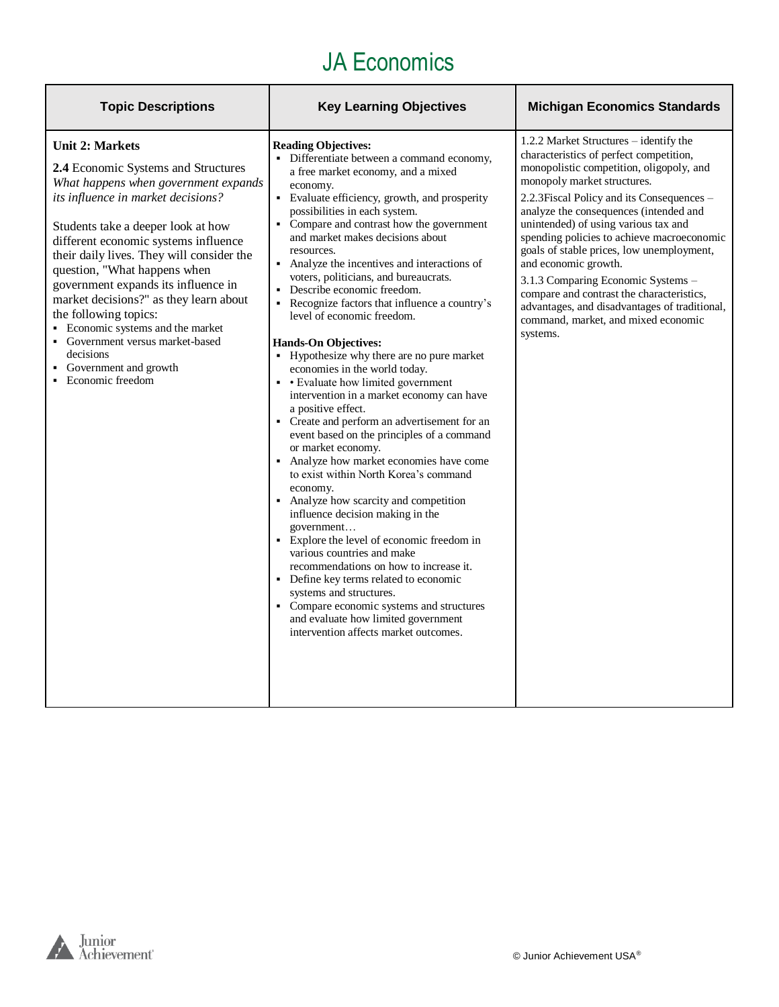| <b>Topic Descriptions</b>                                                                                                                                                                                                                                                                                                                                                                                                                                                                                                                               | <b>Key Learning Objectives</b>                                                                                                                                                                                                                                                                                                                                                                                                                                                                                                                                                                                                                                                                                                                                                                                                                                                                                                                                                                                                                                                                                                                                                                                                                                                                                                                                                    | <b>Michigan Economics Standards</b>                                                                                                                                                                                                                                                                                                                                                                                                                                                                                                                                                                    |
|---------------------------------------------------------------------------------------------------------------------------------------------------------------------------------------------------------------------------------------------------------------------------------------------------------------------------------------------------------------------------------------------------------------------------------------------------------------------------------------------------------------------------------------------------------|-----------------------------------------------------------------------------------------------------------------------------------------------------------------------------------------------------------------------------------------------------------------------------------------------------------------------------------------------------------------------------------------------------------------------------------------------------------------------------------------------------------------------------------------------------------------------------------------------------------------------------------------------------------------------------------------------------------------------------------------------------------------------------------------------------------------------------------------------------------------------------------------------------------------------------------------------------------------------------------------------------------------------------------------------------------------------------------------------------------------------------------------------------------------------------------------------------------------------------------------------------------------------------------------------------------------------------------------------------------------------------------|--------------------------------------------------------------------------------------------------------------------------------------------------------------------------------------------------------------------------------------------------------------------------------------------------------------------------------------------------------------------------------------------------------------------------------------------------------------------------------------------------------------------------------------------------------------------------------------------------------|
| <b>Unit 2: Markets</b><br>2.4 Economic Systems and Structures<br>What happens when government expands<br>its influence in market decisions?<br>Students take a deeper look at how<br>different economic systems influence<br>their daily lives. They will consider the<br>question, "What happens when<br>government expands its influence in<br>market decisions?" as they learn about<br>the following topics:<br>• Economic systems and the market<br>• Government versus market-based<br>decisions<br>• Government and growth<br>• Economic freedom | <b>Reading Objectives:</b><br>• Differentiate between a command economy,<br>a free market economy, and a mixed<br>economy.<br>• Evaluate efficiency, growth, and prosperity<br>possibilities in each system.<br>• Compare and contrast how the government<br>and market makes decisions about<br>resources.<br>• Analyze the incentives and interactions of<br>voters, politicians, and bureaucrats.<br>• Describe economic freedom.<br>Recognize factors that influence a country's<br>level of economic freedom.<br><b>Hands-On Objectives:</b><br>• Hypothesize why there are no pure market<br>economies in the world today.<br>• Evaluate how limited government<br>intervention in a market economy can have<br>a positive effect.<br>• Create and perform an advertisement for an<br>event based on the principles of a command<br>or market economy.<br>• Analyze how market economies have come<br>to exist within North Korea's command<br>economy.<br>• Analyze how scarcity and competition<br>influence decision making in the<br>government<br>• Explore the level of economic freedom in<br>various countries and make<br>recommendations on how to increase it.<br>• Define key terms related to economic<br>systems and structures.<br>• Compare economic systems and structures<br>and evaluate how limited government<br>intervention affects market outcomes. | 1.2.2 Market Structures – identify the<br>characteristics of perfect competition,<br>monopolistic competition, oligopoly, and<br>monopoly market structures.<br>2.2.3 Fiscal Policy and its Consequences -<br>analyze the consequences (intended and<br>unintended) of using various tax and<br>spending policies to achieve macroeconomic<br>goals of stable prices, low unemployment,<br>and economic growth.<br>3.1.3 Comparing Economic Systems -<br>compare and contrast the characteristics,<br>advantages, and disadvantages of traditional,<br>command, market, and mixed economic<br>systems. |

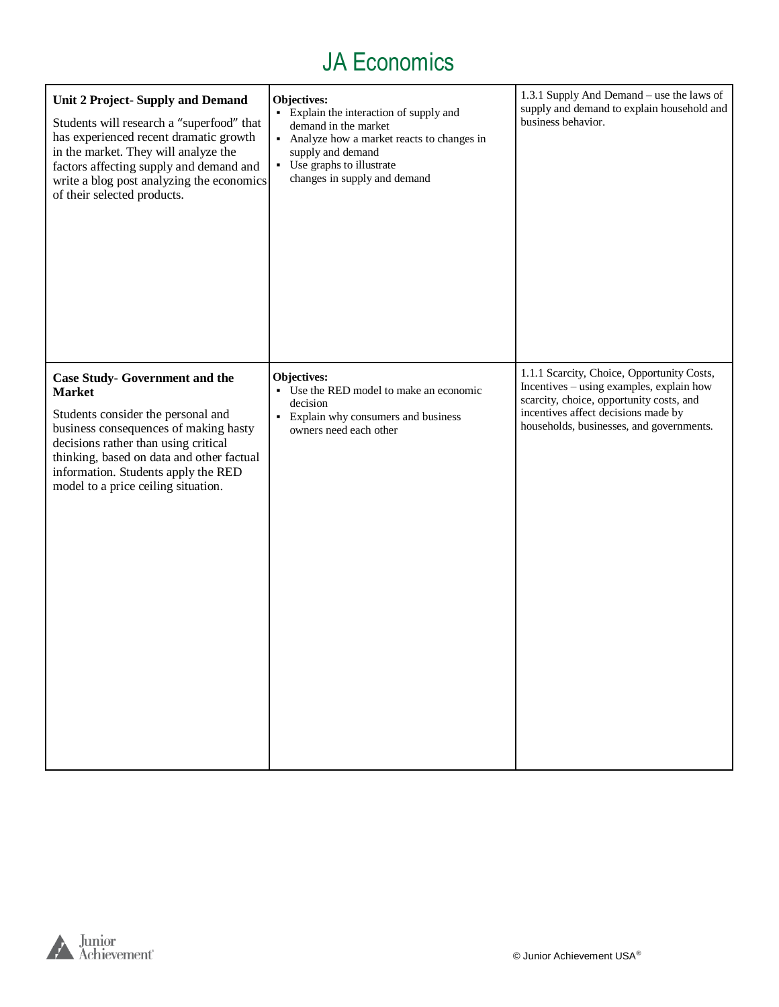| <b>Unit 2 Project-Supply and Demand</b><br>Students will research a "superfood" that<br>has experienced recent dramatic growth<br>in the market. They will analyze the<br>factors affecting supply and demand and<br>write a blog post analyzing the economics<br>of their selected products.            | Objectives:<br>• Explain the interaction of supply and<br>demand in the market<br>• Analyze how a market reacts to changes in<br>supply and demand<br>• Use graphs to illustrate<br>changes in supply and demand | 1.3.1 Supply And Demand - use the laws of<br>supply and demand to explain household and<br>business behavior.                                                                                                         |
|----------------------------------------------------------------------------------------------------------------------------------------------------------------------------------------------------------------------------------------------------------------------------------------------------------|------------------------------------------------------------------------------------------------------------------------------------------------------------------------------------------------------------------|-----------------------------------------------------------------------------------------------------------------------------------------------------------------------------------------------------------------------|
| <b>Case Study- Government and the</b><br><b>Market</b><br>Students consider the personal and<br>business consequences of making hasty<br>decisions rather than using critical<br>thinking, based on data and other factual<br>information. Students apply the RED<br>model to a price ceiling situation. | Objectives:<br>• Use the RED model to make an economic<br>decision<br>Explain why consumers and business<br>$\blacksquare$<br>owners need each other                                                             | 1.1.1 Scarcity, Choice, Opportunity Costs,<br>Incentives - using examples, explain how<br>scarcity, choice, opportunity costs, and<br>incentives affect decisions made by<br>households, businesses, and governments. |

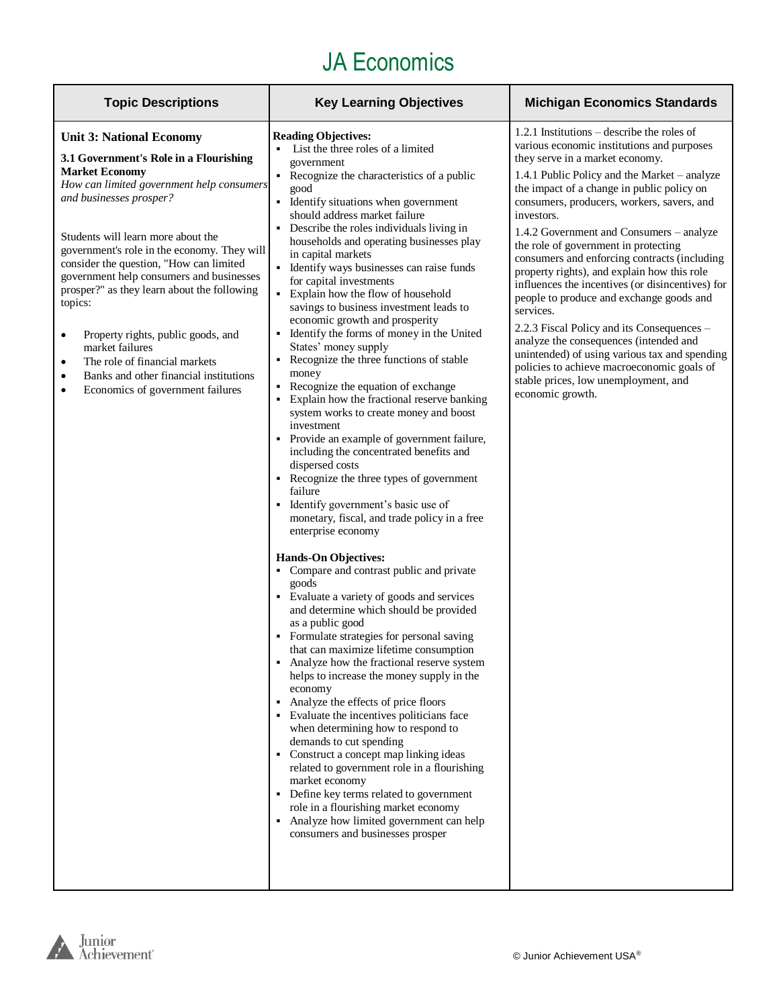| <b>Topic Descriptions</b>                                                                                                                                                                                                                                                                                                                                                                                                                                                                                                                                                                                                            | <b>Key Learning Objectives</b>                                                                                                                                                                                                                                                                                                                                                                                                                                                                                                                                                                                                                                                                                                                                                                                                                                                                                                                                                                                                                                                                                                                                                                                                                                                                                                                                                                                                                                                                                                                                                                                                                                                                                                                                                                                                                                                                                                       | <b>Michigan Economics Standards</b>                                                                                                                                                                                                                                                                                                                                                                                                                                                                                                                                                                                                                                                                                                                                                                                                      |
|--------------------------------------------------------------------------------------------------------------------------------------------------------------------------------------------------------------------------------------------------------------------------------------------------------------------------------------------------------------------------------------------------------------------------------------------------------------------------------------------------------------------------------------------------------------------------------------------------------------------------------------|--------------------------------------------------------------------------------------------------------------------------------------------------------------------------------------------------------------------------------------------------------------------------------------------------------------------------------------------------------------------------------------------------------------------------------------------------------------------------------------------------------------------------------------------------------------------------------------------------------------------------------------------------------------------------------------------------------------------------------------------------------------------------------------------------------------------------------------------------------------------------------------------------------------------------------------------------------------------------------------------------------------------------------------------------------------------------------------------------------------------------------------------------------------------------------------------------------------------------------------------------------------------------------------------------------------------------------------------------------------------------------------------------------------------------------------------------------------------------------------------------------------------------------------------------------------------------------------------------------------------------------------------------------------------------------------------------------------------------------------------------------------------------------------------------------------------------------------------------------------------------------------------------------------------------------------|------------------------------------------------------------------------------------------------------------------------------------------------------------------------------------------------------------------------------------------------------------------------------------------------------------------------------------------------------------------------------------------------------------------------------------------------------------------------------------------------------------------------------------------------------------------------------------------------------------------------------------------------------------------------------------------------------------------------------------------------------------------------------------------------------------------------------------------|
| <b>Unit 3: National Economy</b><br>3.1 Government's Role in a Flourishing<br><b>Market Economy</b><br>How can limited government help consumers<br>and businesses prosper?<br>Students will learn more about the<br>government's role in the economy. They will<br>consider the question, "How can limited<br>government help consumers and businesses<br>prosper?" as they learn about the following<br>topics:<br>Property rights, public goods, and<br>$\bullet$<br>market failures<br>The role of financial markets<br>$\bullet$<br>Banks and other financial institutions<br>٠<br>Economics of government failures<br>$\bullet$ | <b>Reading Objectives:</b><br>List the three roles of a limited<br>government<br>• Recognize the characteristics of a public<br>good<br>• Identify situations when government<br>should address market failure<br>• Describe the roles individuals living in<br>households and operating businesses play<br>in capital markets<br>• Identify ways businesses can raise funds<br>for capital investments<br>• Explain how the flow of household<br>savings to business investment leads to<br>economic growth and prosperity<br>• Identify the forms of money in the United<br>States' money supply<br>• Recognize the three functions of stable<br>money<br>• Recognize the equation of exchange<br>• Explain how the fractional reserve banking<br>system works to create money and boost<br>investment<br>• Provide an example of government failure,<br>including the concentrated benefits and<br>dispersed costs<br>• Recognize the three types of government<br>failure<br>• Identify government's basic use of<br>monetary, fiscal, and trade policy in a free<br>enterprise economy<br><b>Hands-On Objectives:</b><br>• Compare and contrast public and private<br>goods<br>• Evaluate a variety of goods and services<br>and determine which should be provided<br>as a public good<br>• Formulate strategies for personal saving<br>that can maximize lifetime consumption<br>• Analyze how the fractional reserve system<br>helps to increase the money supply in the<br>economy<br>• Analyze the effects of price floors<br>• Evaluate the incentives politicians face<br>when determining how to respond to<br>demands to cut spending<br>• Construct a concept map linking ideas<br>related to government role in a flourishing<br>market economy<br>• Define key terms related to government<br>role in a flourishing market economy<br>• Analyze how limited government can help<br>consumers and businesses prosper | 1.2.1 Institutions – describe the roles of<br>various economic institutions and purposes<br>they serve in a market economy.<br>1.4.1 Public Policy and the Market - analyze<br>the impact of a change in public policy on<br>consumers, producers, workers, savers, and<br>investors.<br>1.4.2 Government and Consumers – analyze<br>the role of government in protecting<br>consumers and enforcing contracts (including<br>property rights), and explain how this role<br>influences the incentives (or disincentives) for<br>people to produce and exchange goods and<br>services.<br>2.2.3 Fiscal Policy and its Consequences –<br>analyze the consequences (intended and<br>unintended) of using various tax and spending<br>policies to achieve macroeconomic goals of<br>stable prices, low unemployment, and<br>economic growth. |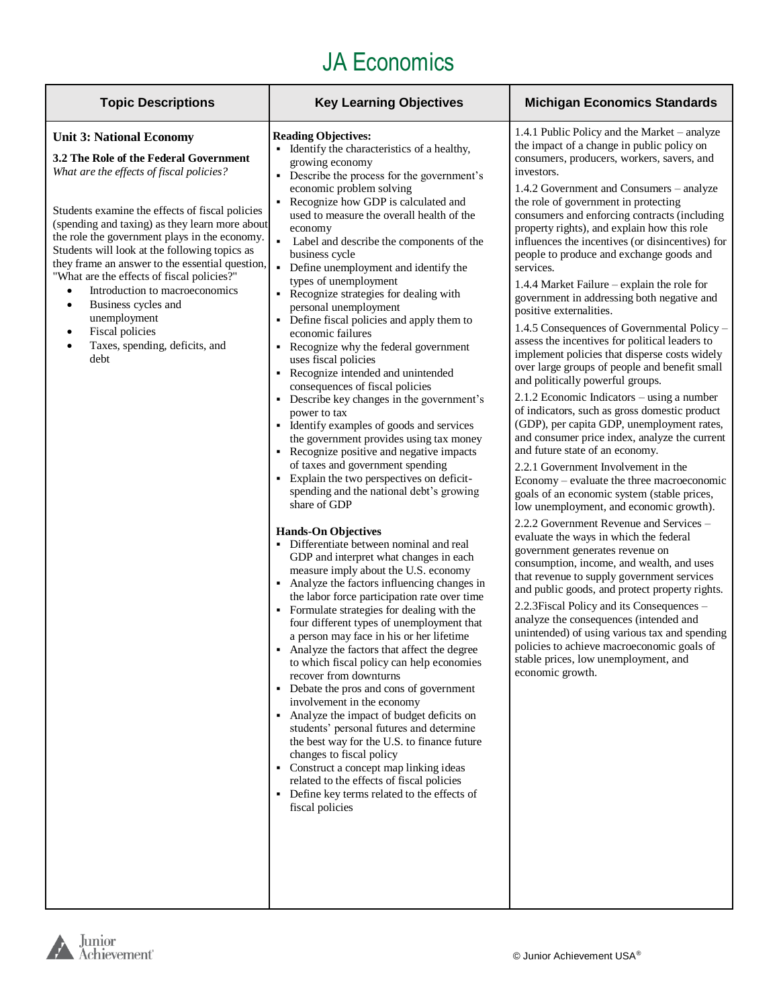| <b>Topic Descriptions</b>                                                                                                                                                                                                                                                                                                                                                                                                                                                                                                                                                                            | <b>Key Learning Objectives</b>                                                                                                                                                                                                                                                                                                                                                                                                                                                                                                                                                                                                                                                                                                                                                                                                                                                                                                                                                                                                                                                                                                                                                                                                                                                                                                                                                                                                                                                                                                                                                                                                                                                                                                                                                                                                                                                                                                                            | <b>Michigan Economics Standards</b>                                                                                                                                                                                                                                                                                                                                                                                                                                                                                                                                                                                                                                                                                                                                                                                                                                                                                                                                                                                                                                                                                                                                                                                                                                                                                                                                                                                                                                                                                                                                                                                                                                                                                                                           |
|------------------------------------------------------------------------------------------------------------------------------------------------------------------------------------------------------------------------------------------------------------------------------------------------------------------------------------------------------------------------------------------------------------------------------------------------------------------------------------------------------------------------------------------------------------------------------------------------------|-----------------------------------------------------------------------------------------------------------------------------------------------------------------------------------------------------------------------------------------------------------------------------------------------------------------------------------------------------------------------------------------------------------------------------------------------------------------------------------------------------------------------------------------------------------------------------------------------------------------------------------------------------------------------------------------------------------------------------------------------------------------------------------------------------------------------------------------------------------------------------------------------------------------------------------------------------------------------------------------------------------------------------------------------------------------------------------------------------------------------------------------------------------------------------------------------------------------------------------------------------------------------------------------------------------------------------------------------------------------------------------------------------------------------------------------------------------------------------------------------------------------------------------------------------------------------------------------------------------------------------------------------------------------------------------------------------------------------------------------------------------------------------------------------------------------------------------------------------------------------------------------------------------------------------------------------------------|---------------------------------------------------------------------------------------------------------------------------------------------------------------------------------------------------------------------------------------------------------------------------------------------------------------------------------------------------------------------------------------------------------------------------------------------------------------------------------------------------------------------------------------------------------------------------------------------------------------------------------------------------------------------------------------------------------------------------------------------------------------------------------------------------------------------------------------------------------------------------------------------------------------------------------------------------------------------------------------------------------------------------------------------------------------------------------------------------------------------------------------------------------------------------------------------------------------------------------------------------------------------------------------------------------------------------------------------------------------------------------------------------------------------------------------------------------------------------------------------------------------------------------------------------------------------------------------------------------------------------------------------------------------------------------------------------------------------------------------------------------------|
| <b>Unit 3: National Economy</b><br>3.2 The Role of the Federal Government<br>What are the effects of fiscal policies?<br>Students examine the effects of fiscal policies<br>(spending and taxing) as they learn more about<br>the role the government plays in the economy.<br>Students will look at the following topics as<br>they frame an answer to the essential question,<br>"What are the effects of fiscal policies?"<br>Introduction to macroeconomics<br>Business cycles and<br>$\bullet$<br>unemployment<br><b>Fiscal policies</b><br>Taxes, spending, deficits, and<br>$\bullet$<br>debt | <b>Reading Objectives:</b><br>Identify the characteristics of a healthy,<br>growing economy<br>Describe the process for the government's<br>economic problem solving<br>Recognize how GDP is calculated and<br>used to measure the overall health of the<br>economy<br>Label and describe the components of the<br>business cycle<br>• Define unemployment and identify the<br>types of unemployment<br>Recognize strategies for dealing with<br>personal unemployment<br>• Define fiscal policies and apply them to<br>economic failures<br>Recognize why the federal government<br>uses fiscal policies<br>Recognize intended and unintended<br>consequences of fiscal policies<br>Describe key changes in the government's<br>power to tax<br>• Identify examples of goods and services<br>the government provides using tax money<br>Recognize positive and negative impacts<br>of taxes and government spending<br>Explain the two perspectives on deficit-<br>spending and the national debt's growing<br>share of GDP<br><b>Hands-On Objectives</b><br>Differentiate between nominal and real<br>GDP and interpret what changes in each<br>measure imply about the U.S. economy<br>Analyze the factors influencing changes in<br>the labor force participation rate over time<br>• Formulate strategies for dealing with the<br>four different types of unemployment that<br>a person may face in his or her lifetime<br>• Analyze the factors that affect the degree<br>to which fiscal policy can help economies<br>recover from downturns<br>Debate the pros and cons of government<br>involvement in the economy<br>• Analyze the impact of budget deficits on<br>students' personal futures and determine<br>the best way for the U.S. to finance future<br>changes to fiscal policy<br>Construct a concept map linking ideas<br>related to the effects of fiscal policies<br>• Define key terms related to the effects of<br>fiscal policies | 1.4.1 Public Policy and the Market - analyze<br>the impact of a change in public policy on<br>consumers, producers, workers, savers, and<br>investors.<br>1.4.2 Government and Consumers – analyze<br>the role of government in protecting<br>consumers and enforcing contracts (including<br>property rights), and explain how this role<br>influences the incentives (or disincentives) for<br>people to produce and exchange goods and<br>services.<br>1.4.4 Market Failure – explain the role for<br>government in addressing both negative and<br>positive externalities.<br>1.4.5 Consequences of Governmental Policy -<br>assess the incentives for political leaders to<br>implement policies that disperse costs widely<br>over large groups of people and benefit small<br>and politically powerful groups.<br>2.1.2 Economic Indicators – using a number<br>of indicators, such as gross domestic product<br>(GDP), per capita GDP, unemployment rates,<br>and consumer price index, analyze the current<br>and future state of an economy.<br>2.2.1 Government Involvement in the<br>Economy – evaluate the three macroeconomic<br>goals of an economic system (stable prices,<br>low unemployment, and economic growth).<br>2.2.2 Government Revenue and Services –<br>evaluate the ways in which the federal<br>government generates revenue on<br>consumption, income, and wealth, and uses<br>that revenue to supply government services<br>and public goods, and protect property rights.<br>2.2.3 Fiscal Policy and its Consequences -<br>analyze the consequences (intended and<br>unintended) of using various tax and spending<br>policies to achieve macroeconomic goals of<br>stable prices, low unemployment, and<br>economic growth. |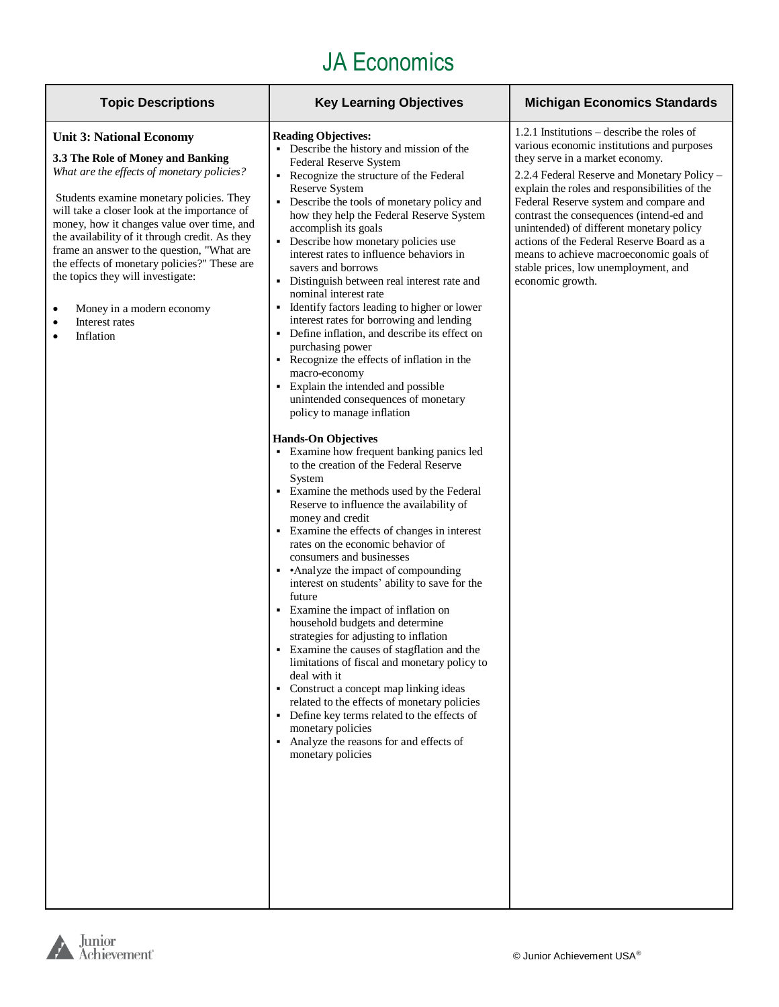| <b>Topic Descriptions</b>                                                                                                                                                                                                                                                                                                                                                                                                                                                                                                                            | <b>Key Learning Objectives</b>                                                                                                                                                                                                                                                                                                                                                                                                                                                                                                                                                                                                                                                                                                                                                                                                                                                                                                                                                                                                                                                                                                                                                                                                                                                                                                                                                                                                                                                                                                                                                                                                                                                                                                                                | <b>Michigan Economics Standards</b>                                                                                                                                                                                                                                                                                                                                                                                                                                                                                 |
|------------------------------------------------------------------------------------------------------------------------------------------------------------------------------------------------------------------------------------------------------------------------------------------------------------------------------------------------------------------------------------------------------------------------------------------------------------------------------------------------------------------------------------------------------|---------------------------------------------------------------------------------------------------------------------------------------------------------------------------------------------------------------------------------------------------------------------------------------------------------------------------------------------------------------------------------------------------------------------------------------------------------------------------------------------------------------------------------------------------------------------------------------------------------------------------------------------------------------------------------------------------------------------------------------------------------------------------------------------------------------------------------------------------------------------------------------------------------------------------------------------------------------------------------------------------------------------------------------------------------------------------------------------------------------------------------------------------------------------------------------------------------------------------------------------------------------------------------------------------------------------------------------------------------------------------------------------------------------------------------------------------------------------------------------------------------------------------------------------------------------------------------------------------------------------------------------------------------------------------------------------------------------------------------------------------------------|---------------------------------------------------------------------------------------------------------------------------------------------------------------------------------------------------------------------------------------------------------------------------------------------------------------------------------------------------------------------------------------------------------------------------------------------------------------------------------------------------------------------|
| <b>Unit 3: National Economy</b><br>3.3 The Role of Money and Banking<br>What are the effects of monetary policies?<br>Students examine monetary policies. They<br>will take a closer look at the importance of<br>money, how it changes value over time, and<br>the availability of it through credit. As they<br>frame an answer to the question, "What are<br>the effects of monetary policies?" These are<br>the topics they will investigate:<br>Money in a modern economy<br>$\bullet$<br>Interest rates<br>$\bullet$<br>Inflation<br>$\bullet$ | <b>Reading Objectives:</b><br>• Describe the history and mission of the<br>Federal Reserve System<br>• Recognize the structure of the Federal<br><b>Reserve System</b><br>• Describe the tools of monetary policy and<br>how they help the Federal Reserve System<br>accomplish its goals<br>• Describe how monetary policies use<br>interest rates to influence behaviors in<br>savers and borrows<br>• Distinguish between real interest rate and<br>nominal interest rate<br>• Identify factors leading to higher or lower<br>interest rates for borrowing and lending<br>• Define inflation, and describe its effect on<br>purchasing power<br>• Recognize the effects of inflation in the<br>macro-economy<br>• Explain the intended and possible<br>unintended consequences of monetary<br>policy to manage inflation<br><b>Hands-On Objectives</b><br>• Examine how frequent banking panics led<br>to the creation of the Federal Reserve<br>System<br>• Examine the methods used by the Federal<br>Reserve to influence the availability of<br>money and credit<br>• Examine the effects of changes in interest<br>rates on the economic behavior of<br>consumers and businesses<br>• Analyze the impact of compounding<br>interest on students' ability to save for the<br>future<br>• Examine the impact of inflation on<br>household budgets and determine<br>strategies for adjusting to inflation<br>• Examine the causes of stagflation and the<br>limitations of fiscal and monetary policy to<br>deal with it<br>• Construct a concept map linking ideas<br>related to the effects of monetary policies<br>• Define key terms related to the effects of<br>monetary policies<br>• Analyze the reasons for and effects of<br>monetary policies | 1.2.1 Institutions $-$ describe the roles of<br>various economic institutions and purposes<br>they serve in a market economy.<br>2.2.4 Federal Reserve and Monetary Policy -<br>explain the roles and responsibilities of the<br>Federal Reserve system and compare and<br>contrast the consequences (intend-ed and<br>unintended) of different monetary policy<br>actions of the Federal Reserve Board as a<br>means to achieve macroeconomic goals of<br>stable prices, low unemployment, and<br>economic growth. |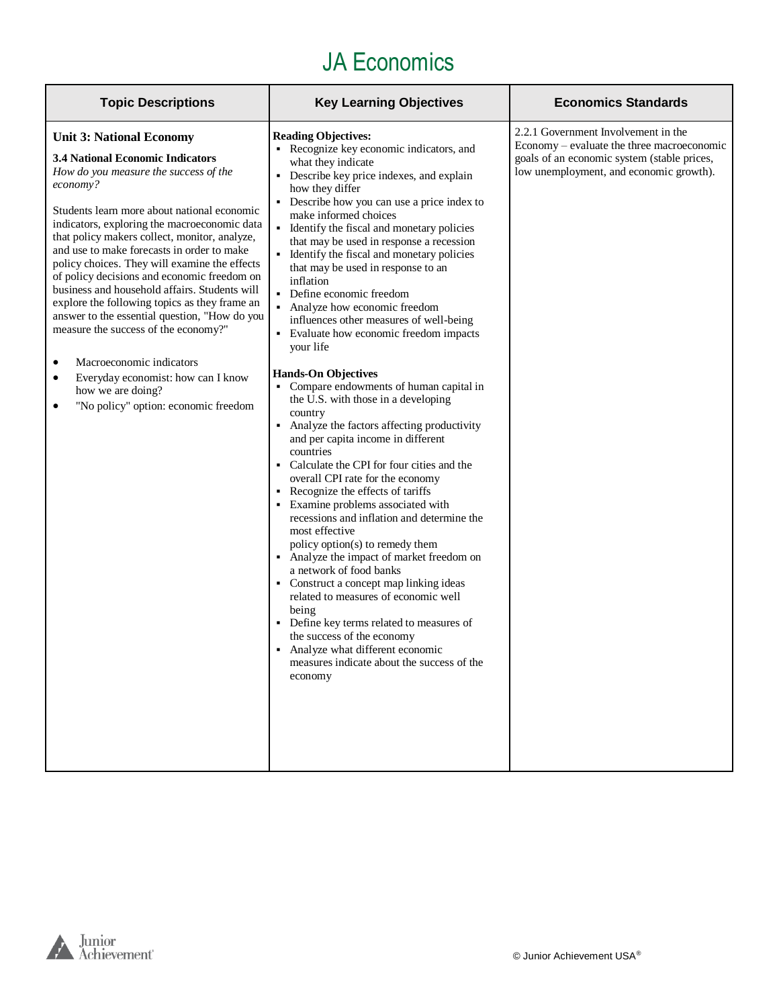| <b>Topic Descriptions</b>                                                                                                                                                                                                                                                                                                                                                                                                                                                                                                                                                                                                                                                                                                                                                      | <b>Key Learning Objectives</b>                                                                                                                                                                                                                                                                                                                                                                                                                                                                                                                                                                                                                                                                                                                                                                                                                                                                                                                                                                                                                                                                                                                                                                                                                                                                                                                                                                                                                                | <b>Economics Standards</b>                                                                                                                                                  |
|--------------------------------------------------------------------------------------------------------------------------------------------------------------------------------------------------------------------------------------------------------------------------------------------------------------------------------------------------------------------------------------------------------------------------------------------------------------------------------------------------------------------------------------------------------------------------------------------------------------------------------------------------------------------------------------------------------------------------------------------------------------------------------|---------------------------------------------------------------------------------------------------------------------------------------------------------------------------------------------------------------------------------------------------------------------------------------------------------------------------------------------------------------------------------------------------------------------------------------------------------------------------------------------------------------------------------------------------------------------------------------------------------------------------------------------------------------------------------------------------------------------------------------------------------------------------------------------------------------------------------------------------------------------------------------------------------------------------------------------------------------------------------------------------------------------------------------------------------------------------------------------------------------------------------------------------------------------------------------------------------------------------------------------------------------------------------------------------------------------------------------------------------------------------------------------------------------------------------------------------------------|-----------------------------------------------------------------------------------------------------------------------------------------------------------------------------|
| <b>Unit 3: National Economy</b><br><b>3.4 National Economic Indicators</b><br>How do you measure the success of the<br>economy?<br>Students learn more about national economic<br>indicators, exploring the macroeconomic data<br>that policy makers collect, monitor, analyze,<br>and use to make forecasts in order to make<br>policy choices. They will examine the effects<br>of policy decisions and economic freedom on<br>business and household affairs. Students will<br>explore the following topics as they frame an<br>answer to the essential question, "How do you<br>measure the success of the economy?"<br>Macroeconomic indicators<br>٠<br>Everyday economist: how can I know<br>٠<br>how we are doing?<br>"No policy" option: economic freedom<br>$\bullet$ | <b>Reading Objectives:</b><br>• Recognize key economic indicators, and<br>what they indicate<br>• Describe key price indexes, and explain<br>how they differ<br>• Describe how you can use a price index to<br>make informed choices<br>• Identify the fiscal and monetary policies<br>that may be used in response a recession<br>• Identify the fiscal and monetary policies<br>that may be used in response to an<br>inflation<br>• Define economic freedom<br>• Analyze how economic freedom<br>influences other measures of well-being<br>Evaluate how economic freedom impacts<br>your life<br><b>Hands-On Objectives</b><br>Compare endowments of human capital in<br>the U.S. with those in a developing<br>country<br>• Analyze the factors affecting productivity<br>and per capita income in different<br>countries<br>• Calculate the CPI for four cities and the<br>overall CPI rate for the economy<br>• Recognize the effects of tariffs<br>Examine problems associated with<br>$\blacksquare$<br>recessions and inflation and determine the<br>most effective<br>policy option(s) to remedy them<br>• Analyze the impact of market freedom on<br>a network of food banks<br>• Construct a concept map linking ideas<br>related to measures of economic well<br>being<br>• Define key terms related to measures of<br>the success of the economy<br>• Analyze what different economic<br>measures indicate about the success of the<br>economy | 2.2.1 Government Involvement in the<br>Economy – evaluate the three macroeconomic<br>goals of an economic system (stable prices,<br>low unemployment, and economic growth). |

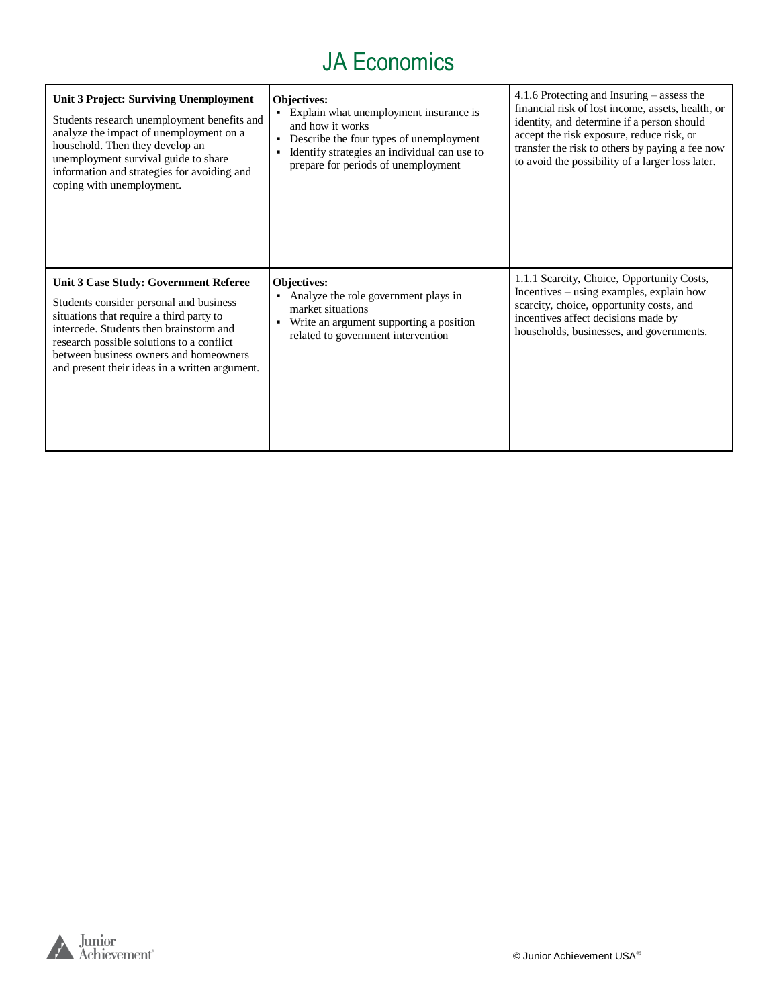| Unit 3 Project: Surviving Unemployment<br>Students research unemployment benefits and<br>analyze the impact of unemployment on a<br>household. Then they develop an<br>unemployment survival guide to share<br>information and strategies for avoiding and<br>coping with unemployment.                          | Objectives:<br>• Explain what unemployment insurance is<br>and how it works<br>Describe the four types of unemployment<br>Identify strategies an individual can use to<br>prepare for periods of unemployment | 4.1.6 Protecting and Insuring – assess the<br>financial risk of lost income, assets, health, or<br>identity, and determine if a person should<br>accept the risk exposure, reduce risk, or<br>transfer the risk to others by paying a fee now<br>to avoid the possibility of a larger loss later. |
|------------------------------------------------------------------------------------------------------------------------------------------------------------------------------------------------------------------------------------------------------------------------------------------------------------------|---------------------------------------------------------------------------------------------------------------------------------------------------------------------------------------------------------------|---------------------------------------------------------------------------------------------------------------------------------------------------------------------------------------------------------------------------------------------------------------------------------------------------|
| Unit 3 Case Study: Government Referee<br>Students consider personal and business<br>situations that require a third party to<br>intercede. Students then brainstorm and<br>research possible solutions to a conflict<br>between business owners and homeowners<br>and present their ideas in a written argument. | Objectives:<br>• Analyze the role government plays in<br>market situations<br>Write an argument supporting a position<br>٠<br>related to government intervention                                              | 1.1.1 Scarcity, Choice, Opportunity Costs,<br>Incentives – using examples, explain how<br>scarcity, choice, opportunity costs, and<br>incentives affect decisions made by<br>households, businesses, and governments.                                                                             |

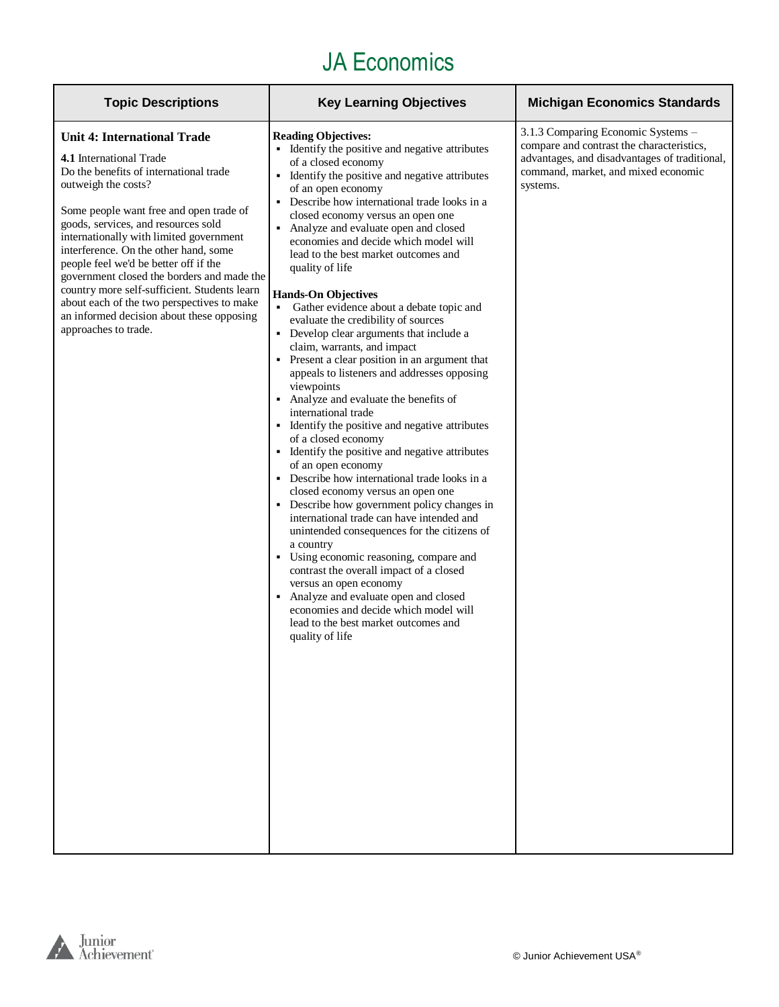| <b>Topic Descriptions</b>                                                                                                                                                                                                                                                                                                                                                                                                                                                                                                                                      | <b>Key Learning Objectives</b>                                                                                                                                                                                                                                                                                                                                                                                                                                                                                                                                                                                                                                                                                                                                                                                                                                                                                                                                                                                                                                                                                                                                                                                                                                                                                                                                                                                                                                 | <b>Michigan Economics Standards</b>                                                                                                                                                 |
|----------------------------------------------------------------------------------------------------------------------------------------------------------------------------------------------------------------------------------------------------------------------------------------------------------------------------------------------------------------------------------------------------------------------------------------------------------------------------------------------------------------------------------------------------------------|----------------------------------------------------------------------------------------------------------------------------------------------------------------------------------------------------------------------------------------------------------------------------------------------------------------------------------------------------------------------------------------------------------------------------------------------------------------------------------------------------------------------------------------------------------------------------------------------------------------------------------------------------------------------------------------------------------------------------------------------------------------------------------------------------------------------------------------------------------------------------------------------------------------------------------------------------------------------------------------------------------------------------------------------------------------------------------------------------------------------------------------------------------------------------------------------------------------------------------------------------------------------------------------------------------------------------------------------------------------------------------------------------------------------------------------------------------------|-------------------------------------------------------------------------------------------------------------------------------------------------------------------------------------|
| <b>Unit 4: International Trade</b><br>4.1 International Trade<br>Do the benefits of international trade<br>outweigh the costs?<br>Some people want free and open trade of<br>goods, services, and resources sold<br>internationally with limited government<br>interference. On the other hand, some<br>people feel we'd be better off if the<br>government closed the borders and made the<br>country more self-sufficient. Students learn<br>about each of the two perspectives to make<br>an informed decision about these opposing<br>approaches to trade. | <b>Reading Objectives:</b><br>• Identify the positive and negative attributes<br>of a closed economy<br>• Identify the positive and negative attributes<br>of an open economy<br>• Describe how international trade looks in a<br>closed economy versus an open one<br>• Analyze and evaluate open and closed<br>economies and decide which model will<br>lead to the best market outcomes and<br>quality of life<br><b>Hands-On Objectives</b><br>• Gather evidence about a debate topic and<br>evaluate the credibility of sources<br>• Develop clear arguments that include a<br>claim, warrants, and impact<br>• Present a clear position in an argument that<br>appeals to listeners and addresses opposing<br>viewpoints<br>• Analyze and evaluate the benefits of<br>international trade<br>• Identify the positive and negative attributes<br>of a closed economy<br>• Identify the positive and negative attributes<br>of an open economy<br>• Describe how international trade looks in a<br>closed economy versus an open one<br>• Describe how government policy changes in<br>international trade can have intended and<br>unintended consequences for the citizens of<br>a country<br>• Using economic reasoning, compare and<br>contrast the overall impact of a closed<br>versus an open economy<br>• Analyze and evaluate open and closed<br>economies and decide which model will<br>lead to the best market outcomes and<br>quality of life | 3.1.3 Comparing Economic Systems -<br>compare and contrast the characteristics,<br>advantages, and disadvantages of traditional,<br>command, market, and mixed economic<br>systems. |

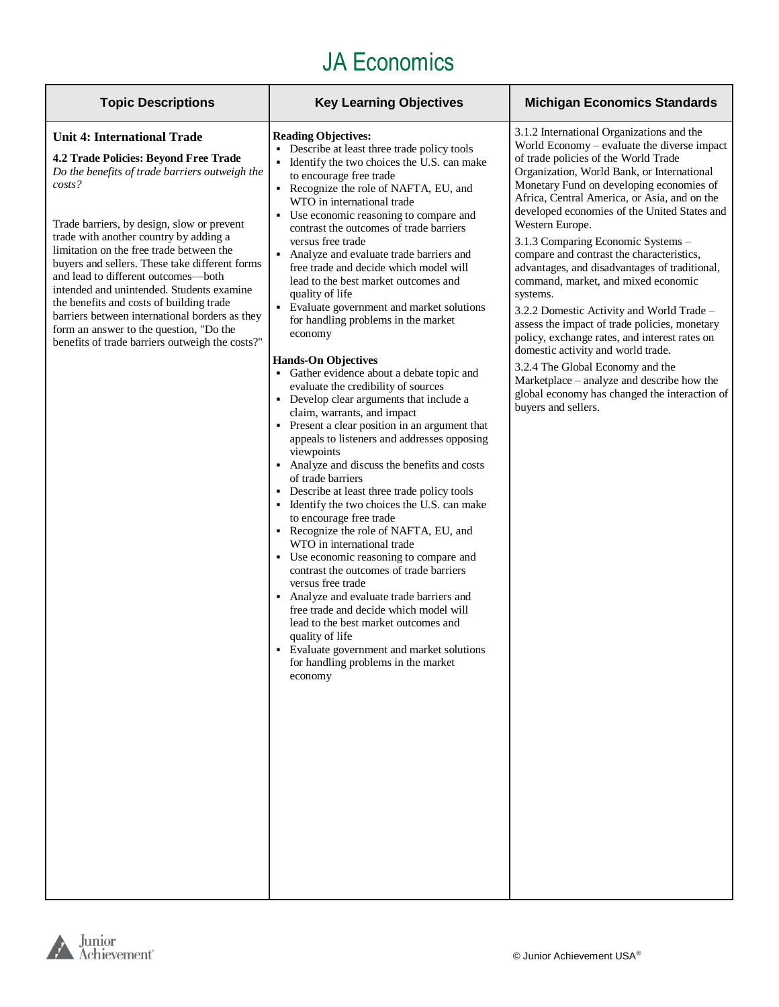| <b>Topic Descriptions</b>                                                                                                                                                                                                                                                                                                                                                                                                                                                                                                                                                                                     | <b>Key Learning Objectives</b>                                                                                                                                                                                                                                                                                                                                                                                                                                                                                                                                                                                                                                                                                                                                                                                                                                                                                                                                                                                                                                                                                                                                                                                                                                                                                                                                                                                                                                                                                                                          | <b>Michigan Economics Standards</b>                                                                                                                                                                                                                                                                                                                                                                                                                                                                                                                                                                                                                                                                                                                                                                                                                                                 |
|---------------------------------------------------------------------------------------------------------------------------------------------------------------------------------------------------------------------------------------------------------------------------------------------------------------------------------------------------------------------------------------------------------------------------------------------------------------------------------------------------------------------------------------------------------------------------------------------------------------|---------------------------------------------------------------------------------------------------------------------------------------------------------------------------------------------------------------------------------------------------------------------------------------------------------------------------------------------------------------------------------------------------------------------------------------------------------------------------------------------------------------------------------------------------------------------------------------------------------------------------------------------------------------------------------------------------------------------------------------------------------------------------------------------------------------------------------------------------------------------------------------------------------------------------------------------------------------------------------------------------------------------------------------------------------------------------------------------------------------------------------------------------------------------------------------------------------------------------------------------------------------------------------------------------------------------------------------------------------------------------------------------------------------------------------------------------------------------------------------------------------------------------------------------------------|-------------------------------------------------------------------------------------------------------------------------------------------------------------------------------------------------------------------------------------------------------------------------------------------------------------------------------------------------------------------------------------------------------------------------------------------------------------------------------------------------------------------------------------------------------------------------------------------------------------------------------------------------------------------------------------------------------------------------------------------------------------------------------------------------------------------------------------------------------------------------------------|
| <b>Unit 4: International Trade</b><br>4.2 Trade Policies: Beyond Free Trade<br>Do the benefits of trade barriers outweigh the<br>costs?<br>Trade barriers, by design, slow or prevent<br>trade with another country by adding a<br>limitation on the free trade between the<br>buyers and sellers. These take different forms<br>and lead to different outcomes-both<br>intended and unintended. Students examine<br>the benefits and costs of building trade<br>barriers between international borders as they<br>form an answer to the question, "Do the<br>benefits of trade barriers outweigh the costs?" | <b>Reading Objectives:</b><br>Describe at least three trade policy tools<br>Identify the two choices the U.S. can make<br>to encourage free trade<br>Recognize the role of NAFTA, EU, and<br>WTO in international trade<br>• Use economic reasoning to compare and<br>contrast the outcomes of trade barriers<br>versus free trade<br>Analyze and evaluate trade barriers and<br>$\blacksquare$<br>free trade and decide which model will<br>lead to the best market outcomes and<br>quality of life<br>• Evaluate government and market solutions<br>for handling problems in the market<br>economy<br><b>Hands-On Objectives</b><br>• Gather evidence about a debate topic and<br>evaluate the credibility of sources<br>• Develop clear arguments that include a<br>claim, warrants, and impact<br>• Present a clear position in an argument that<br>appeals to listeners and addresses opposing<br>viewpoints<br>Analyze and discuss the benefits and costs<br>of trade barriers<br>• Describe at least three trade policy tools<br>Identify the two choices the U.S. can make<br>٠<br>to encourage free trade<br>• Recognize the role of NAFTA, EU, and<br>WTO in international trade<br>• Use economic reasoning to compare and<br>contrast the outcomes of trade barriers<br>versus free trade<br>• Analyze and evaluate trade barriers and<br>free trade and decide which model will<br>lead to the best market outcomes and<br>quality of life<br>• Evaluate government and market solutions<br>for handling problems in the market<br>economy | 3.1.2 International Organizations and the<br>World Economy - evaluate the diverse impact<br>of trade policies of the World Trade<br>Organization, World Bank, or International<br>Monetary Fund on developing economies of<br>Africa, Central America, or Asia, and on the<br>developed economies of the United States and<br>Western Europe.<br>3.1.3 Comparing Economic Systems -<br>compare and contrast the characteristics,<br>advantages, and disadvantages of traditional,<br>command, market, and mixed economic<br>systems.<br>3.2.2 Domestic Activity and World Trade –<br>assess the impact of trade policies, monetary<br>policy, exchange rates, and interest rates on<br>domestic activity and world trade.<br>3.2.4 The Global Economy and the<br>Marketplace – analyze and describe how the<br>global economy has changed the interaction of<br>buyers and sellers. |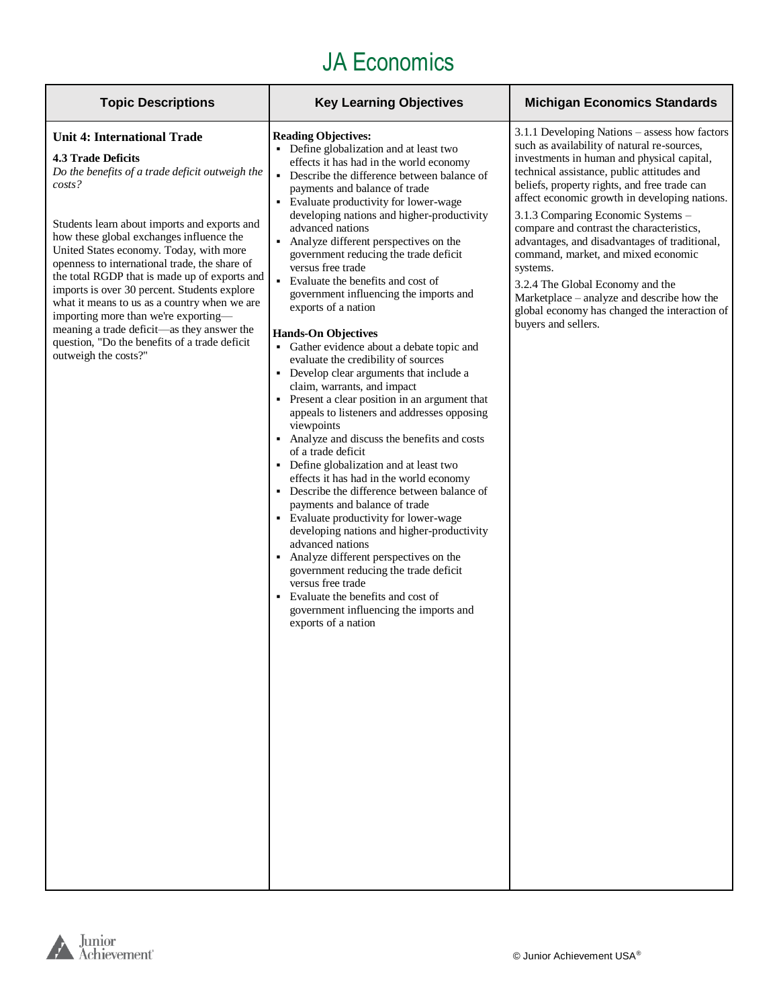| <b>Topic Descriptions</b>                                                                                                                                                                                                                                                                                                                                                                                                                                                                                                                                                                                                        | <b>Key Learning Objectives</b>                                                                                                                                                                                                                                                                                                                                                                                                                                                                                                                                                                                                                                                                                                                                                                                                                                                                                                                                                                                                                                                                                                                                                                                                                                                                                                                                                                                 | <b>Michigan Economics Standards</b>                                                                                                                                                                                                                                                                                                                                                                                                                                                                                                                                                                                                        |
|----------------------------------------------------------------------------------------------------------------------------------------------------------------------------------------------------------------------------------------------------------------------------------------------------------------------------------------------------------------------------------------------------------------------------------------------------------------------------------------------------------------------------------------------------------------------------------------------------------------------------------|----------------------------------------------------------------------------------------------------------------------------------------------------------------------------------------------------------------------------------------------------------------------------------------------------------------------------------------------------------------------------------------------------------------------------------------------------------------------------------------------------------------------------------------------------------------------------------------------------------------------------------------------------------------------------------------------------------------------------------------------------------------------------------------------------------------------------------------------------------------------------------------------------------------------------------------------------------------------------------------------------------------------------------------------------------------------------------------------------------------------------------------------------------------------------------------------------------------------------------------------------------------------------------------------------------------------------------------------------------------------------------------------------------------|--------------------------------------------------------------------------------------------------------------------------------------------------------------------------------------------------------------------------------------------------------------------------------------------------------------------------------------------------------------------------------------------------------------------------------------------------------------------------------------------------------------------------------------------------------------------------------------------------------------------------------------------|
| <b>Unit 4: International Trade</b><br>4.3 Trade Deficits<br>Do the benefits of a trade deficit outweigh the<br>$costs$ ?<br>Students learn about imports and exports and<br>how these global exchanges influence the<br>United States economy. Today, with more<br>openness to international trade, the share of<br>the total RGDP that is made up of exports and<br>imports is over 30 percent. Students explore<br>what it means to us as a country when we are<br>importing more than we're exporting-<br>meaning a trade deficit-as they answer the<br>question, "Do the benefits of a trade deficit<br>outweigh the costs?" | <b>Reading Objectives:</b><br>• Define globalization and at least two<br>effects it has had in the world economy<br>Describe the difference between balance of<br>payments and balance of trade<br>• Evaluate productivity for lower-wage<br>developing nations and higher-productivity<br>advanced nations<br>• Analyze different perspectives on the<br>government reducing the trade deficit<br>versus free trade<br>Evaluate the benefits and cost of<br>government influencing the imports and<br>exports of a nation<br><b>Hands-On Objectives</b><br>• Gather evidence about a debate topic and<br>evaluate the credibility of sources<br>Develop clear arguments that include a<br>claim, warrants, and impact<br>• Present a clear position in an argument that<br>appeals to listeners and addresses opposing<br>viewpoints<br>• Analyze and discuss the benefits and costs<br>of a trade deficit<br>• Define globalization and at least two<br>effects it has had in the world economy<br>Describe the difference between balance of<br>٠<br>payments and balance of trade<br>• Evaluate productivity for lower-wage<br>developing nations and higher-productivity<br>advanced nations<br>Analyze different perspectives on the<br>government reducing the trade deficit<br>versus free trade<br>Evaluate the benefits and cost of<br>government influencing the imports and<br>exports of a nation | 3.1.1 Developing Nations - assess how factors<br>such as availability of natural re-sources,<br>investments in human and physical capital,<br>technical assistance, public attitudes and<br>beliefs, property rights, and free trade can<br>affect economic growth in developing nations.<br>3.1.3 Comparing Economic Systems -<br>compare and contrast the characteristics,<br>advantages, and disadvantages of traditional,<br>command, market, and mixed economic<br>systems.<br>3.2.4 The Global Economy and the<br>Marketplace - analyze and describe how the<br>global economy has changed the interaction of<br>buyers and sellers. |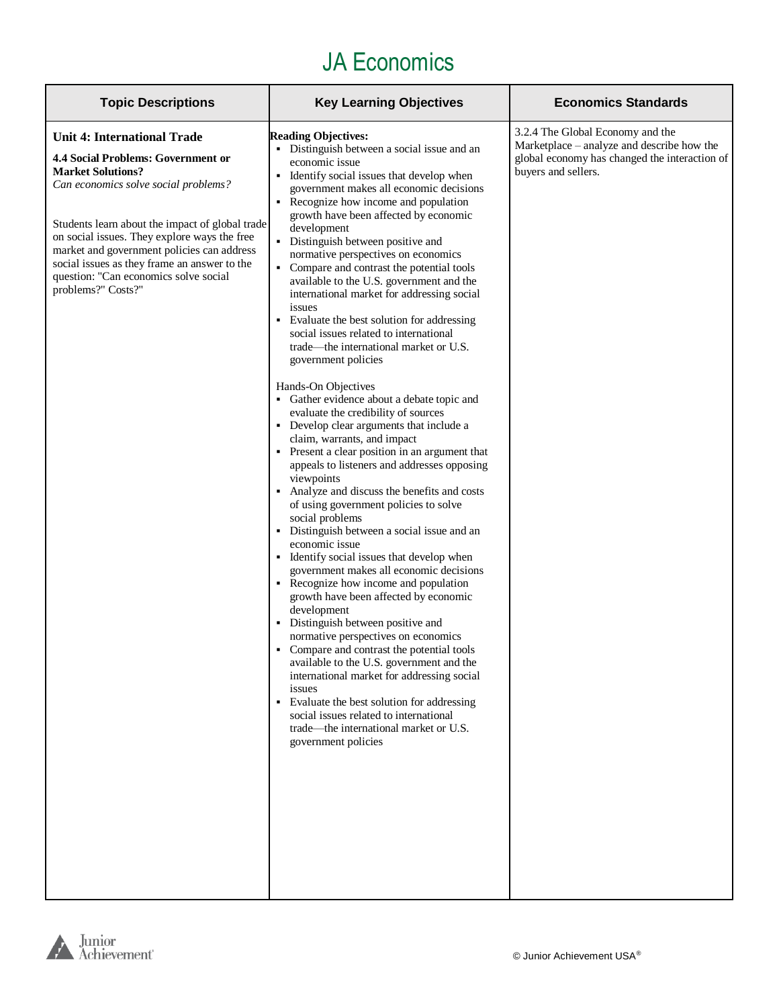| <b>Topic Descriptions</b>                                                                                                                                                                                                                                                                                                                                                                                           | <b>Key Learning Objectives</b>                                                                                                                                                                                                                                                                                                                                                                                                                                                                                                                                                                                                                                                                                                                                                                                                                                                                                                                                                                                                                                   | <b>Economics Standards</b>                                                                                                                             |
|---------------------------------------------------------------------------------------------------------------------------------------------------------------------------------------------------------------------------------------------------------------------------------------------------------------------------------------------------------------------------------------------------------------------|------------------------------------------------------------------------------------------------------------------------------------------------------------------------------------------------------------------------------------------------------------------------------------------------------------------------------------------------------------------------------------------------------------------------------------------------------------------------------------------------------------------------------------------------------------------------------------------------------------------------------------------------------------------------------------------------------------------------------------------------------------------------------------------------------------------------------------------------------------------------------------------------------------------------------------------------------------------------------------------------------------------------------------------------------------------|--------------------------------------------------------------------------------------------------------------------------------------------------------|
| <b>Unit 4: International Trade</b><br><b>4.4 Social Problems: Government or</b><br><b>Market Solutions?</b><br>Can economics solve social problems?<br>Students learn about the impact of global trade<br>on social issues. They explore ways the free<br>market and government policies can address<br>social issues as they frame an answer to the<br>question: "Can economics solve social<br>problems?" Costs?" | <b>Reading Objectives:</b><br>• Distinguish between a social issue and an<br>economic issue<br>• Identify social issues that develop when<br>government makes all economic decisions<br>• Recognize how income and population<br>growth have been affected by economic<br>development<br>• Distinguish between positive and<br>normative perspectives on economics<br>• Compare and contrast the potential tools<br>available to the U.S. government and the<br>international market for addressing social<br>issues<br>Evaluate the best solution for addressing<br>social issues related to international<br>trade—the international market or U.S.<br>government policies                                                                                                                                                                                                                                                                                                                                                                                     | 3.2.4 The Global Economy and the<br>Marketplace - analyze and describe how the<br>global economy has changed the interaction of<br>buyers and sellers. |
|                                                                                                                                                                                                                                                                                                                                                                                                                     | Hands-On Objectives<br>• Gather evidence about a debate topic and<br>evaluate the credibility of sources<br>• Develop clear arguments that include a<br>claim, warrants, and impact<br>• Present a clear position in an argument that<br>appeals to listeners and addresses opposing<br>viewpoints<br>• Analyze and discuss the benefits and costs<br>of using government policies to solve<br>social problems<br>• Distinguish between a social issue and an<br>economic issue<br>• Identify social issues that develop when<br>government makes all economic decisions<br>• Recognize how income and population<br>growth have been affected by economic<br>development<br>• Distinguish between positive and<br>normative perspectives on economics<br>• Compare and contrast the potential tools<br>available to the U.S. government and the<br>international market for addressing social<br>issues<br>Evaluate the best solution for addressing<br>social issues related to international<br>trade—the international market or U.S.<br>government policies |                                                                                                                                                        |